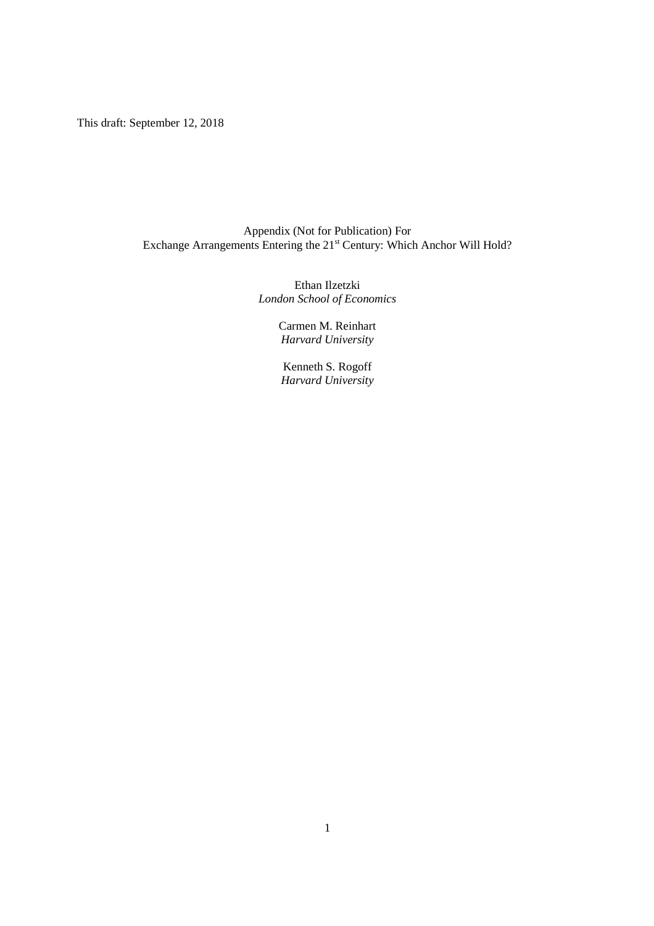This draft: September 12, 2018

# Appendix (Not for Publication) For Exchange Arrangements Entering the 21<sup>st</sup> Century: Which Anchor Will Hold?

Ethan Ilzetzki *London School of Economics* 

> Carmen M. Reinhart *Harvard University*

Kenneth S. Rogoff *Harvard University*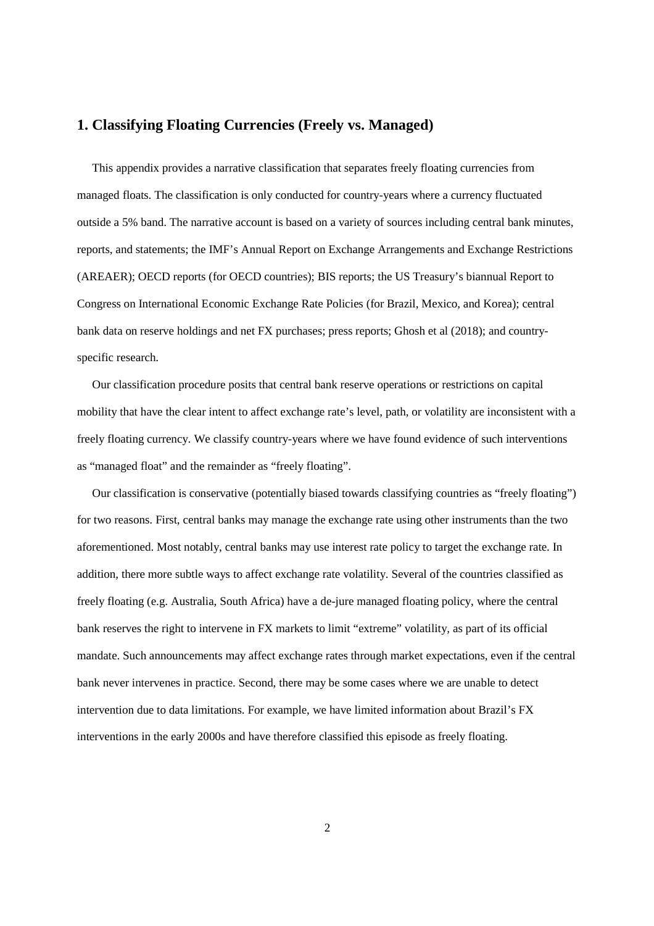# **1. Classifying Floating Currencies (Freely vs. Managed)**

 This appendix provides a narrative classification that separates freely floating currencies from managed floats. The classification is only conducted for country-years where a currency fluctuated outside a 5% band. The narrative account is based on a variety of sources including central bank minutes, reports, and statements; the IMF's Annual Report on Exchange Arrangements and Exchange Restrictions (AREAER); OECD reports (for OECD countries); BIS reports; the US Treasury's biannual Report to Congress on International Economic Exchange Rate Policies (for Brazil, Mexico, and Korea); central bank data on reserve holdings and net FX purchases; press reports; Ghosh et al (2018); and countryspecific research.

 Our classification procedure posits that central bank reserve operations or restrictions on capital mobility that have the clear intent to affect exchange rate's level, path, or volatility are inconsistent with a freely floating currency. We classify country-years where we have found evidence of such interventions as "managed float" and the remainder as "freely floating".

 Our classification is conservative (potentially biased towards classifying countries as "freely floating") for two reasons. First, central banks may manage the exchange rate using other instruments than the two aforementioned. Most notably, central banks may use interest rate policy to target the exchange rate. In addition, there more subtle ways to affect exchange rate volatility. Several of the countries classified as freely floating (e.g. Australia, South Africa) have a de-jure managed floating policy, where the central bank reserves the right to intervene in FX markets to limit "extreme" volatility, as part of its official mandate. Such announcements may affect exchange rates through market expectations, even if the central bank never intervenes in practice. Second, there may be some cases where we are unable to detect intervention due to data limitations. For example, we have limited information about Brazil's FX interventions in the early 2000s and have therefore classified this episode as freely floating.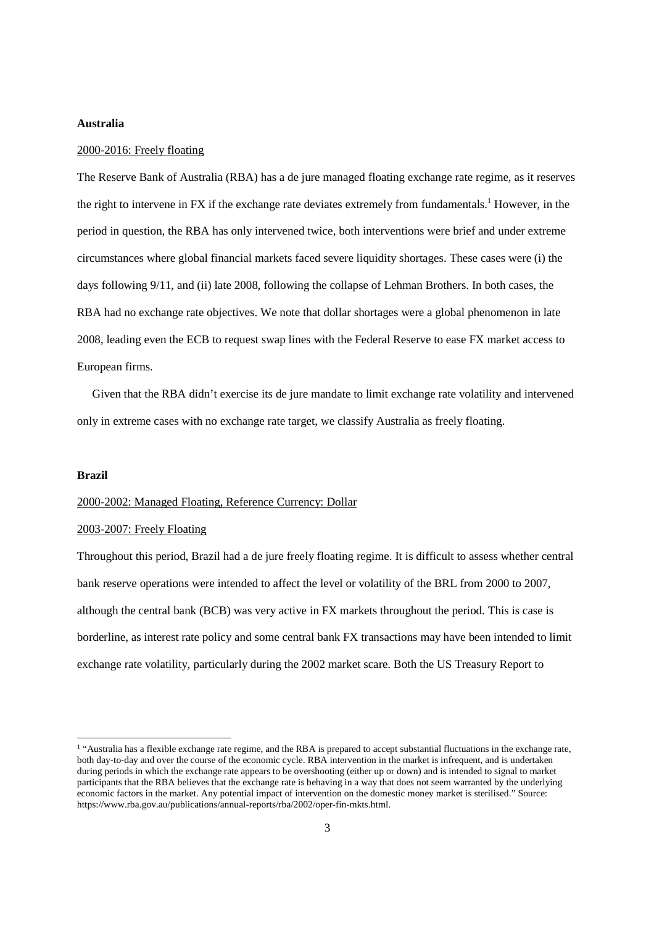#### **Australia**

#### 2000-2016: Freely floating

The Reserve Bank of Australia (RBA) has a de jure managed floating exchange rate regime, as it reserves the right to intervene in FX if the exchange rate deviates extremely from fundamentals.<sup>1</sup> However, in the period in question, the RBA has only intervened twice, both interventions were brief and under extreme circumstances where global financial markets faced severe liquidity shortages. These cases were (i) the days following 9/11, and (ii) late 2008, following the collapse of Lehman Brothers. In both cases, the RBA had no exchange rate objectives. We note that dollar shortages were a global phenomenon in late 2008, leading even the ECB to request swap lines with the Federal Reserve to ease FX market access to European firms.

 Given that the RBA didn't exercise its de jure mandate to limit exchange rate volatility and intervened only in extreme cases with no exchange rate target, we classify Australia as freely floating.

#### **Brazil**

<u>.</u>

# 2000-2002: Managed Floating, Reference Currency: Dollar

## 2003-2007: Freely Floating

Throughout this period, Brazil had a de jure freely floating regime. It is difficult to assess whether central bank reserve operations were intended to affect the level or volatility of the BRL from 2000 to 2007, although the central bank (BCB) was very active in FX markets throughout the period. This is case is borderline, as interest rate policy and some central bank FX transactions may have been intended to limit exchange rate volatility, particularly during the 2002 market scare. Both the US Treasury Report to

<sup>&</sup>lt;sup>1</sup> "Australia has a flexible exchange rate regime, and the RBA is prepared to accept substantial fluctuations in the exchange rate, both day-to-day and over the course of the economic cycle. RBA intervention in the market is infrequent, and is undertaken during periods in which the exchange rate appears to be overshooting (either up or down) and is intended to signal to market participants that the RBA believes that the exchange rate is behaving in a way that does not seem warranted by the underlying economic factors in the market. Any potential impact of intervention on the domestic money market is sterilised." Source: https://www.rba.gov.au/publications/annual-reports/rba/2002/oper-fin-mkts.html.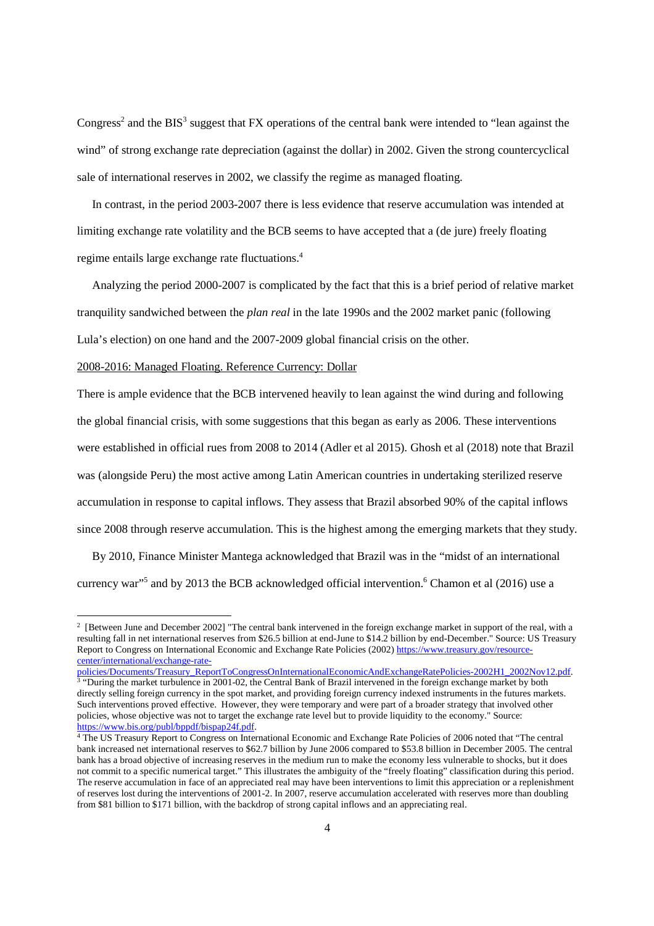Congress<sup>2</sup> and the BIS<sup>3</sup> suggest that FX operations of the central bank were intended to "lean against the wind" of strong exchange rate depreciation (against the dollar) in 2002. Given the strong countercyclical sale of international reserves in 2002, we classify the regime as managed floating.

 In contrast, in the period 2003-2007 there is less evidence that reserve accumulation was intended at limiting exchange rate volatility and the BCB seems to have accepted that a (de jure) freely floating regime entails large exchange rate fluctuations.<sup>4</sup>

 Analyzing the period 2000-2007 is complicated by the fact that this is a brief period of relative market tranquility sandwiched between the *plan real* in the late 1990s and the 2002 market panic (following Lula's election) on one hand and the 2007-2009 global financial crisis on the other.

2008-2016: Managed Floating. Reference Currency: Dollar

1

There is ample evidence that the BCB intervened heavily to lean against the wind during and following the global financial crisis, with some suggestions that this began as early as 2006. These interventions were established in official rues from 2008 to 2014 (Adler et al 2015). Ghosh et al (2018) note that Brazil was (alongside Peru) the most active among Latin American countries in undertaking sterilized reserve accumulation in response to capital inflows. They assess that Brazil absorbed 90% of the capital inflows since 2008 through reserve accumulation. This is the highest among the emerging markets that they study.

 By 2010, Finance Minister Mantega acknowledged that Brazil was in the "midst of an international currency war"<sup>5</sup> and by 2013 the BCB acknowledged official intervention.<sup>6</sup> Chamon et al (2016) use a

<sup>&</sup>lt;sup>2</sup> [Between June and December 2002] "The central bank intervened in the foreign exchange market in support of the real, with a resulting fall in net international reserves from \$26.5 billion at end-June to \$14.2 billion by end-December." Source: US Treasury Report to Congress on International Economic and Exchange Rate Policies (2002) https://www.treasury.gov/resourcecenter/international/exchange-rate-

policies/Documents/Treasury\_ReportToCongressOnInternationalEconomicAndExchangeRatePolicies-2002H1\_2002Nov12.pdf. <sup>3</sup> "During the market turbulence in 2001-02, the Central Bank of Brazil intervened in the foreign exchange market by both directly selling foreign currency in the spot market, and providing foreign currency indexed instruments in the futures markets. Such interventions proved effective. However, they were temporary and were part of a broader strategy that involved other policies, whose objective was not to target the exchange rate level but to provide liquidity to the economy." Source: https://www.bis.org/publ/bppdf/bispap24f.pdf.

<sup>4</sup> The US Treasury Report to Congress on International Economic and Exchange Rate Policies of 2006 noted that "The central bank increased net international reserves to \$62.7 billion by June 2006 compared to \$53.8 billion in December 2005. The central bank has a broad objective of increasing reserves in the medium run to make the economy less vulnerable to shocks, but it does not commit to a specific numerical target." This illustrates the ambiguity of the "freely floating" classification during this period. The reserve accumulation in face of an appreciated real may have been interventions to limit this appreciation or a replenishment of reserves lost during the interventions of 2001-2. In 2007, reserve accumulation accelerated with reserves more than doubling from \$81 billion to \$171 billion, with the backdrop of strong capital inflows and an appreciating real.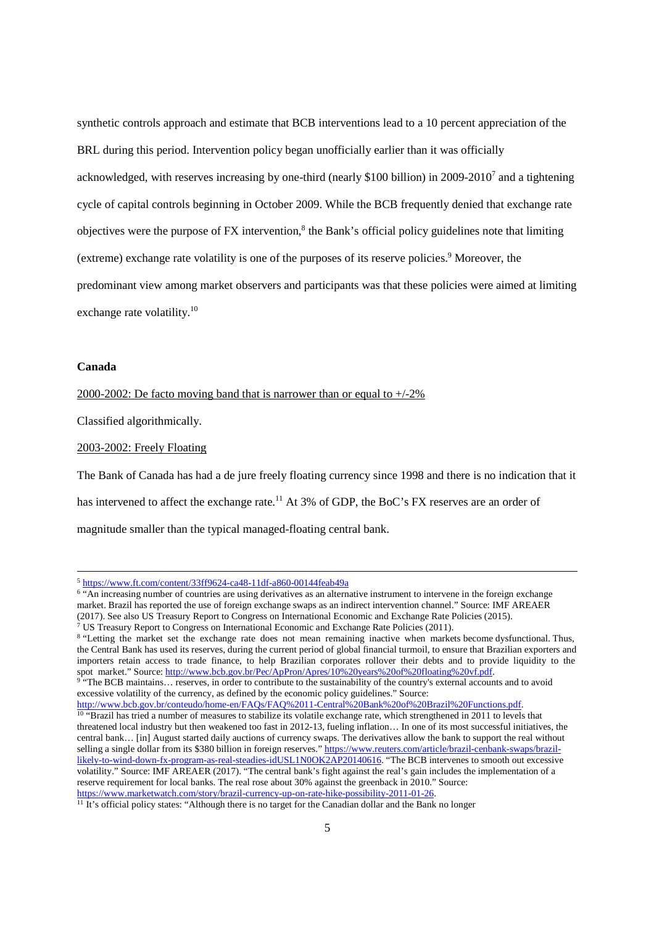synthetic controls approach and estimate that BCB interventions lead to a 10 percent appreciation of the BRL during this period. Intervention policy began unofficially earlier than it was officially acknowledged, with reserves increasing by one-third (nearly \$100 billion) in 2009-2010<sup>7</sup> and a tightening cycle of capital controls beginning in October 2009. While the BCB frequently denied that exchange rate objectives were the purpose of FX intervention,<sup>8</sup> the Bank's official policy guidelines note that limiting (extreme) exchange rate volatility is one of the purposes of its reserve policies.<sup>9</sup> Moreover, the predominant view among market observers and participants was that these policies were aimed at limiting exchange rate volatility.<sup>10</sup>

# **Canada**

<u>.</u>

2000-2002: De facto moving band that is narrower than or equal to  $+/-2\%$ 

Classified algorithmically.

#### 2003-2002: Freely Floating

The Bank of Canada has had a de jure freely floating currency since 1998 and there is no indication that it has intervened to affect the exchange rate.<sup>11</sup> At 3% of GDP, the BoC's FX reserves are an order of magnitude smaller than the typical managed-floating central bank.

http://www.bcb.gov.br/conteudo/home-en/FAQs/FAQ%2011-Central%20Bank%20of%20Brazil%20Functions.pdf. <sup>10</sup> "Brazil has tried a number of measures to stabilize its volatile exchange rate, which strengthened in 2011 to levels that threatened local industry but then weakened too fast in 2012-13, fueling inflation… In one of its most successful initiatives, the central bank… [in] August started daily auctions of currency swaps. The derivatives allow the bank to support the real without selling a single dollar from its \$380 billion in foreign reserves." https://www.reuters.com/article/brazil-cenbank-swaps/brazillikely-to-wind-down-fx-program-as-real-steadies-idUSL1N0OK2AP20140616. "The BCB intervenes to smooth out excessive volatility." Source: IMF AREAER (2017). "The central bank's fight against the real's gain includes the implementation of a reserve requirement for local banks. The real rose about 30% against the greenback in 2010." Source: https://www.marketwatch.com/story/brazil-currency-up-on-rate-hike-possibility-2011-01-26.

<sup>5</sup> https://www.ft.com/content/33ff9624-ca48-11df-a860-00144feab49a

<sup>&</sup>lt;sup>6</sup> "An increasing number of countries are using derivatives as an alternative instrument to intervene in the foreign exchange market. Brazil has reported the use of foreign exchange swaps as an indirect intervention channel." Source: IMF AREAER (2017). See also US Treasury Report to Congress on International Economic and Exchange Rate Policies (2015).

<sup>7</sup> US Treasury Report to Congress on International Economic and Exchange Rate Policies (2011).

<sup>&</sup>lt;sup>8</sup> "Letting the market set the exchange rate does not mean remaining inactive when markets become dysfunctional. Thus, the Central Bank has used its reserves, during the current period of global financial turmoil, to ensure that Brazilian exporters and importers retain access to trade finance, to help Brazilian corporates rollover their debts and to provide liquidity to the spot market." Source: http://www.bcb.gov.br/Pec/ApPron/Apres/10%20years%20of%20floating%20vf.pdf.

<sup>&</sup>lt;sup>9</sup> "The BCB maintains... reserves, in order to contribute to the sustainability of the country's external accounts and to avoid excessive volatility of the currency, as defined by the economic policy guidelines." Source:

 $\frac{11}{11}$  It's official policy states: "Although there is no target for the Canadian dollar and the Bank no longer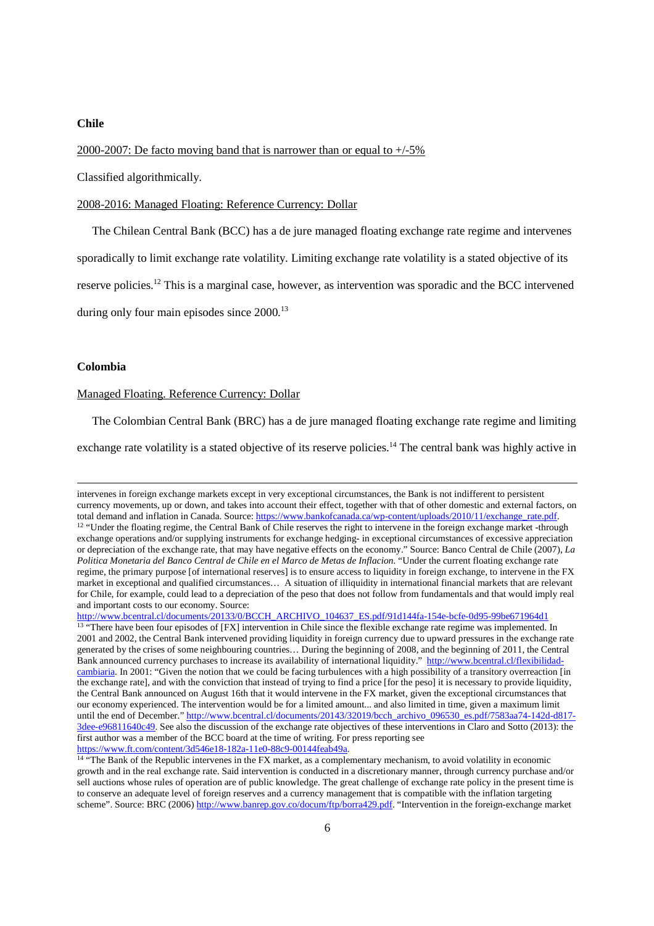#### **Chile**

2000-2007: De facto moving band that is narrower than or equal to +/-5%

Classified algorithmically.

#### 2008-2016: Managed Floating: Reference Currency: Dollar

The Chilean Central Bank (BCC) has a de jure managed floating exchange rate regime and intervenes

sporadically to limit exchange rate volatility. Limiting exchange rate volatility is a stated objective of its

reserve policies.<sup>12</sup> This is a marginal case, however, as intervention was sporadic and the BCC intervened

during only four main episodes since  $2000$ <sup>13</sup>

#### **Colombia**

1

## Managed Floating. Reference Currency: Dollar

The Colombian Central Bank (BRC) has a de jure managed floating exchange rate regime and limiting

exchange rate volatility is a stated objective of its reserve policies.<sup>14</sup> The central bank was highly active in

intervenes in foreign exchange markets except in very exceptional circumstances, the Bank is not indifferent to persistent currency movements, up or down, and takes into account their effect, together with that of other domestic and external factors, on total demand and inflation in Canada. Source: https://www.bankofcanada.ca/wp-content/uploads/2010/11/exchange\_rate.pdf. <sup>12</sup> "Under the floating regime, the Central Bank of Chile reserves the right to intervene in the foreign exchange market -through exchange operations and/or supplying instruments for exchange hedging- in exceptional circumstances of excessive appreciation or depreciation of the exchange rate, that may have negative effects on the economy." Source: Banco Central de Chile (2007), *La Politica Monetaria del Banco Central de Chile en el Marco de Metas de Inflacion.* "Under the current floating exchange rate regime, the primary purpose [of international reserves] is to ensure access to liquidity in foreign exchange, to intervene in the FX market in exceptional and qualified circumstances… A situation of illiquidity in international financial markets that are relevant for Chile, for example, could lead to a depreciation of the peso that does not follow from fundamentals and that would imply real and important costs to our economy. Source:

http://www.bcentral.cl/documents/20133/0/BCCH\_ARCHIVO\_104637\_ES.pdf/91d144fa-154e-bcfe-0d95-99be671964d1  $\frac{13}{13}$  "There have been four episodes of [FX] intervention in Chile since the flexible exchange rate regime was implemented. In 2001 and 2002, the Central Bank intervened providing liquidity in foreign currency due to upward pressures in the exchange rate generated by the crises of some neighbouring countries… During the beginning of 2008, and the beginning of 2011, the Central Bank announced currency purchases to increase its availability of international liquidity." http://www.bcentral.cl/flexibilidadcambiaria. In 2001: "Given the notion that we could be facing turbulences with a high possibility of a transitory overreaction [in the exchange rate], and with the conviction that instead of trying to find a price [for the peso] it is necessary to provide liquidity, the Central Bank announced on August 16th that it would intervene in the FX market, given the exceptional circumstances that our economy experienced. The intervention would be for a limited amount... and also limited in time, given a maximum limit until the end of December." http://www.bcentral.cl/documents/20143/32019/bcch\_archivo\_096530\_es.pdf/7583aa74-142d-d817-3dee-e96811640c49. See also the discussion of the exchange rate objectives of these interventions in Claro and Sotto (2013): the first author was a member of the BCC board at the time of writing. For press reporting see https://www.ft.com/content/3d546e18-182a-11e0-88c9-00144feab49a.

<sup>&</sup>lt;sup>14</sup> "The Bank of the Republic intervenes in the FX market, as a complementary mechanism, to avoid volatility in economic growth and in the real exchange rate. Said intervention is conducted in a discretionary manner, through currency purchase and/or sell auctions whose rules of operation are of public knowledge. The great challenge of exchange rate policy in the present time is to conserve an adequate level of foreign reserves and a currency management that is compatible with the inflation targeting scheme". Source: BRC (2006) http://www.banrep.gov.co/docum/ftp/borra429.pdf. "Intervention in the foreign-exchange market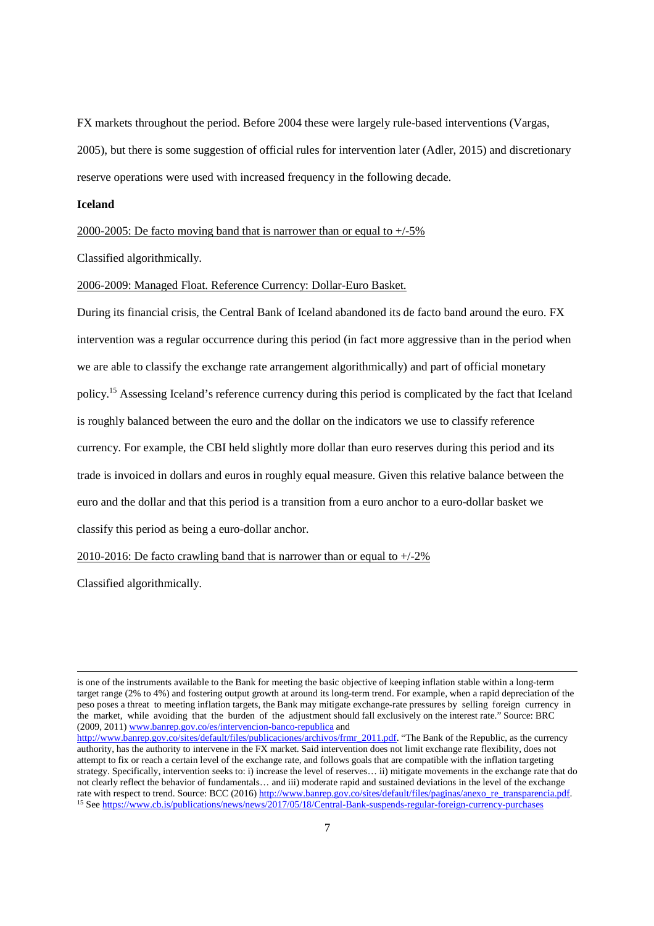FX markets throughout the period. Before 2004 these were largely rule-based interventions (Vargas, 2005), but there is some suggestion of official rules for intervention later (Adler, 2015) and discretionary reserve operations were used with increased frequency in the following decade.

## **Iceland**

#### 2000-2005: De facto moving band that is narrower than or equal to +/-5%

Classified algorithmically.

## 2006-2009: Managed Float. Reference Currency: Dollar-Euro Basket.

During its financial crisis, the Central Bank of Iceland abandoned its de facto band around the euro. FX intervention was a regular occurrence during this period (in fact more aggressive than in the period when we are able to classify the exchange rate arrangement algorithmically) and part of official monetary policy.<sup>15</sup> Assessing Iceland's reference currency during this period is complicated by the fact that Iceland is roughly balanced between the euro and the dollar on the indicators we use to classify reference currency. For example, the CBI held slightly more dollar than euro reserves during this period and its trade is invoiced in dollars and euros in roughly equal measure. Given this relative balance between the euro and the dollar and that this period is a transition from a euro anchor to a euro-dollar basket we classify this period as being a euro-dollar anchor.

2010-2016: De facto crawling band that is narrower than or equal to  $+/-2\%$ 

Classified algorithmically.

<u>.</u>

is one of the instruments available to the Bank for meeting the basic objective of keeping inflation stable within a long-term target range (2% to 4%) and fostering output growth at around its long-term trend. For example, when a rapid depreciation of the peso poses a threat to meeting inflation targets, the Bank may mitigate exchange-rate pressures by selling foreign currency in the market, while avoiding that the burden of the adjustment should fall exclusively on the interest rate." Source: BRC (2009, 2011) www.banrep.gov.co/es/intervencion-banco-republica and http://www.banrep.gov.co/sites/default/files/publicaciones/archivos/frmr\_2011.pdf. "The Bank of the Republic, as the currency authority, has the authority to intervene in the FX market. Said intervention does not limit exchange rate flexibility, does not attempt to fix or reach a certain level of the exchange rate, and follows goals that are compatible with the inflation targeting strategy. Specifically, intervention seeks to: i) increase the level of reserves… ii) mitigate movements in the exchange rate that do not clearly reflect the behavior of fundamentals… and iii) moderate rapid and sustained deviations in the level of the exchange rate with respect to trend. Source: BCC (2016) http://www.banrep.gov.co/sites/default/files/paginas/anexo\_re\_transparencia.pdf.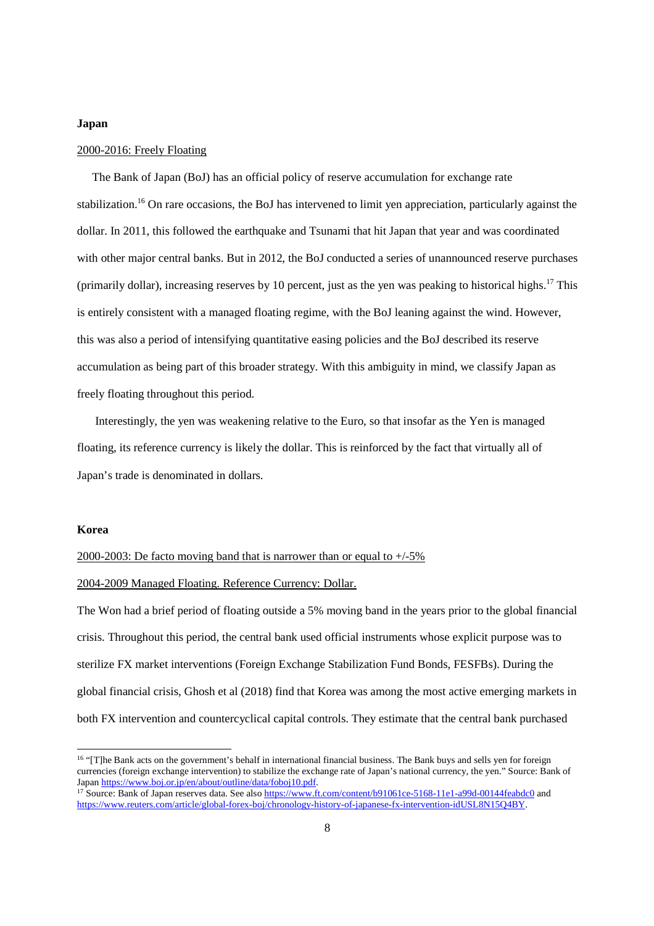#### **Japan**

## 2000-2016: Freely Floating

 The Bank of Japan (BoJ) has an official policy of reserve accumulation for exchange rate stabilization.<sup>16</sup> On rare occasions, the BoJ has intervened to limit yen appreciation, particularly against the dollar. In 2011, this followed the earthquake and Tsunami that hit Japan that year and was coordinated with other major central banks. But in 2012, the BoJ conducted a series of unannounced reserve purchases (primarily dollar), increasing reserves by 10 percent, just as the yen was peaking to historical highs.<sup>17</sup> This is entirely consistent with a managed floating regime, with the BoJ leaning against the wind. However, this was also a period of intensifying quantitative easing policies and the BoJ described its reserve accumulation as being part of this broader strategy. With this ambiguity in mind, we classify Japan as freely floating throughout this period.

 Interestingly, the yen was weakening relative to the Euro, so that insofar as the Yen is managed floating, its reference currency is likely the dollar. This is reinforced by the fact that virtually all of Japan's trade is denominated in dollars.

#### **Korea**

<u>.</u>

#### 2000-2003: De facto moving band that is narrower than or equal to  $+/-5\%$

#### 2004-2009 Managed Floating. Reference Currency: Dollar.

The Won had a brief period of floating outside a 5% moving band in the years prior to the global financial crisis. Throughout this period, the central bank used official instruments whose explicit purpose was to sterilize FX market interventions (Foreign Exchange Stabilization Fund Bonds, FESFBs). During the global financial crisis, Ghosh et al (2018) find that Korea was among the most active emerging markets in both FX intervention and countercyclical capital controls. They estimate that the central bank purchased

<sup>&</sup>lt;sup>16</sup> "[T]he Bank acts on the government's behalf in international financial business. The Bank buys and sells yen for foreign currencies (foreign exchange intervention) to stabilize the exchange rate of Japan's national currency, the yen." Source: Bank of Japan https://www.boj.or.jp/en/about/outline/data/foboj10.pdf.

<sup>&</sup>lt;sup>17</sup> Source: Bank of Japan reserves data. See also https://www.ft.com/content/b91061ce-5168-11e1-a99d-00144feabdc0 and https://www.reuters.com/article/global-forex-boj/chronology-history-of-japanese-fx-intervention-idUSL8N15Q4BY.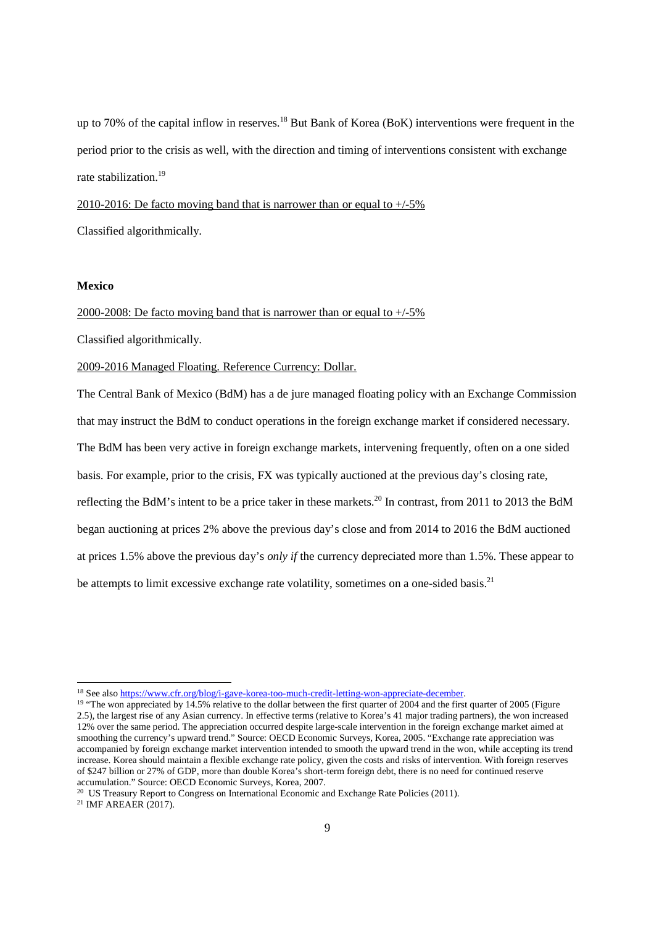up to 70% of the capital inflow in reserves.<sup>18</sup> But Bank of Korea (BoK) interventions were frequent in the period prior to the crisis as well, with the direction and timing of interventions consistent with exchange rate stabilization.<sup>19</sup>

2010-2016: De facto moving band that is narrower than or equal to  $+/-5\%$ Classified algorithmically.

# **Mexico**

2000-2008: De facto moving band that is narrower than or equal to +/-5%

Classified algorithmically.

2009-2016 Managed Floating. Reference Currency: Dollar.

The Central Bank of Mexico (BdM) has a de jure managed floating policy with an Exchange Commission that may instruct the BdM to conduct operations in the foreign exchange market if considered necessary. The BdM has been very active in foreign exchange markets, intervening frequently, often on a one sided basis. For example, prior to the crisis, FX was typically auctioned at the previous day's closing rate, reflecting the BdM's intent to be a price taker in these markets.<sup>20</sup> In contrast, from 2011 to 2013 the BdM began auctioning at prices 2% above the previous day's close and from 2014 to 2016 the BdM auctioned at prices 1.5% above the previous day's *only if* the currency depreciated more than 1.5%. These appear to be attempts to limit excessive exchange rate volatility, sometimes on a one-sided basis.<sup>21</sup>

<sup>20</sup> US Treasury Report to Congress on International Economic and Exchange Rate Policies (2011).

21 IMF AREAER (2017).

<sup>&</sup>lt;sup>18</sup> See also https://www.cfr.org/blog/i-gave-korea-too-much-credit-letting-won-appreciate-december.

<sup>&</sup>lt;sup>19</sup> "The won appreciated by 14.5% relative to the dollar between the first quarter of 2004 and the first quarter of 2005 (Figure 2.5), the largest rise of any Asian currency. In effective terms (relative to Korea's 41 major trading partners), the won increased 12% over the same period. The appreciation occurred despite large-scale intervention in the foreign exchange market aimed at smoothing the currency's upward trend." Source: OECD Economic Surveys, Korea, 2005. "Exchange rate appreciation was accompanied by foreign exchange market intervention intended to smooth the upward trend in the won, while accepting its trend increase. Korea should maintain a flexible exchange rate policy, given the costs and risks of intervention. With foreign reserves of \$247 billion or 27% of GDP, more than double Korea's short-term foreign debt, there is no need for continued reserve accumulation." Source: OECD Economic Surveys, Korea, 2007.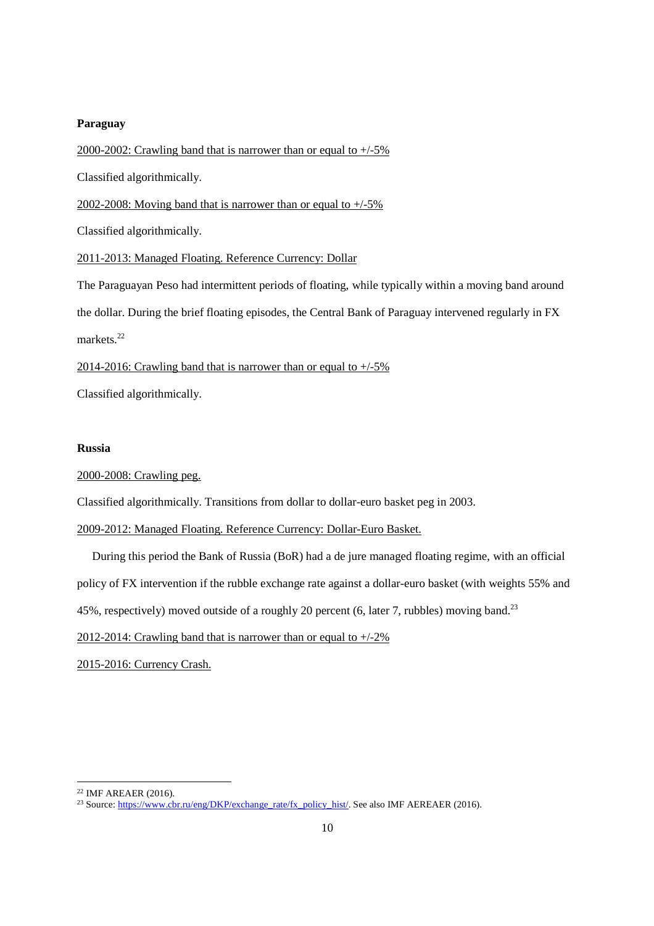# **Paraguay**

2000-2002: Crawling band that is narrower than or equal to +/-5% Classified algorithmically. 2002-2008: Moving band that is narrower than or equal to +/-5% Classified algorithmically. 2011-2013: Managed Floating. Reference Currency: Dollar The Paraguayan Peso had intermittent periods of floating, while typically within a moving band around the dollar. During the brief floating episodes, the Central Bank of Paraguay intervened regularly in FX markets.<sup>22</sup> 2014-2016: Crawling band that is narrower than or equal to  $+/-5\%$ 

Classified algorithmically.

#### **Russia**

## 2000-2008: Crawling peg.

Classified algorithmically. Transitions from dollar to dollar-euro basket peg in 2003.

# 2009-2012: Managed Floating. Reference Currency: Dollar-Euro Basket.

During this period the Bank of Russia (BoR) had a de jure managed floating regime, with an official

policy of FX intervention if the rubble exchange rate against a dollar-euro basket (with weights 55% and

45%, respectively) moved outside of a roughly 20 percent (6, later 7, rubbles) moving band.<sup>23</sup>

2012-2014: Crawling band that is narrower than or equal to  $+/-2\%$ 

2015-2016: Currency Crash.

1

<sup>22</sup> IMF AREAER (2016).

<sup>&</sup>lt;sup>23</sup> Source: https://www.cbr.ru/eng/DKP/exchange\_rate/fx\_policy\_hist/. See also IMF AEREAER (2016).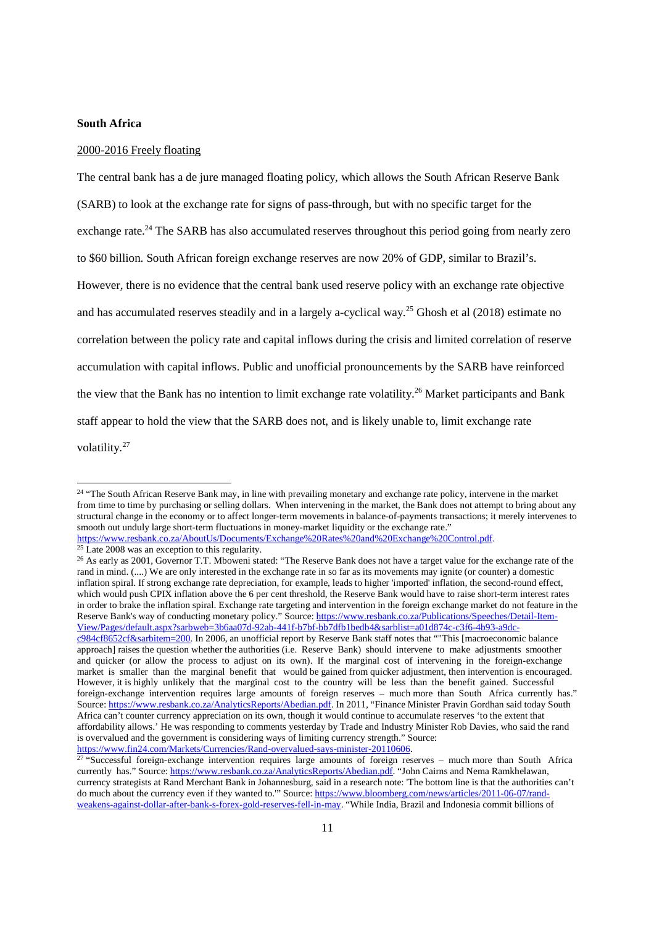#### **South Africa**

#### 2000-2016 Freely floating

The central bank has a de jure managed floating policy, which allows the South African Reserve Bank (SARB) to look at the exchange rate for signs of pass-through, but with no specific target for the exchange rate.<sup>24</sup> The SARB has also accumulated reserves throughout this period going from nearly zero to \$60 billion. South African foreign exchange reserves are now 20% of GDP, similar to Brazil's. However, there is no evidence that the central bank used reserve policy with an exchange rate objective and has accumulated reserves steadily and in a largely a-cyclical way.<sup>25</sup> Ghosh et al (2018) estimate no correlation between the policy rate and capital inflows during the crisis and limited correlation of reserve accumulation with capital inflows. Public and unofficial pronouncements by the SARB have reinforced the view that the Bank has no intention to limit exchange rate volatility.<sup>26</sup> Market participants and Bank staff appear to hold the view that the SARB does not, and is likely unable to, limit exchange rate volatility.<sup>27</sup>

1

https://www.fin24.com/Markets/Currencies/Rand-overvalued-says-minister-20110606.

<sup>&</sup>lt;sup>24</sup> "The South African Reserve Bank may, in line with prevailing monetary and exchange rate policy, intervene in the market from time to time by purchasing or selling dollars. When intervening in the market, the Bank does not attempt to bring about any structural change in the economy or to affect longer-term movements in balance-of-payments transactions; it merely intervenes to smooth out unduly large short-term fluctuations in money-market liquidity or the exchange rate." https://www.resbank.co.za/AboutUs/Documents/Exchange%20Rates%20and%20Exchange%20Control.pdf.

 $25$  Late 2008 was an exception to this regularity.

<sup>&</sup>lt;sup>26</sup> As early as 2001, Governor T.T. Mboweni stated: "The Reserve Bank does not have a target value for the exchange rate of the rand in mind. (....) We are only interested in the exchange rate in so far as its movements may ignite (or counter) a domestic inflation spiral. If strong exchange rate depreciation, for example, leads to higher 'imported' inflation, the second-round effect, which would push CPIX inflation above the 6 per cent threshold, the Reserve Bank would have to raise short-term interest rates in order to brake the inflation spiral. Exchange rate targeting and intervention in the foreign exchange market do not feature in the Reserve Bank's way of conducting monetary policy." Source: https://www.resbank.co.za/Publications/Speeches/Detail-Item-View/Pages/default.aspx?sarbweb=3b6aa07d-92ab-441f-b7bf-bb7dfb1bedb4&sarblist=a01d874c-c3f6-4b93-a9dcc984cf8652cf&sarbitem=200. In 2006, an unofficial report by Reserve Bank staff notes that ""This [macroeconomic balance approach] raises the question whether the authorities (i.e. Reserve Bank) should intervene to make adjustments smoother and quicker (or allow the process to adjust on its own). If the marginal cost of intervening in the foreign-exchange market is smaller than the marginal benefit that would be gained from quicker adjustment, then intervention is encouraged. However, it is highly unlikely that the marginal cost to the country will be less than the benefit gained. Successful foreign-exchange intervention requires large amounts of foreign reserves – much more than South Africa currently has." Source: https://www.resbank.co.za/AnalyticsReports/Abedian.pdf. In 2011, "Finance Minister Pravin Gordhan said today South Africa can't counter currency appreciation on its own, though it would continue to accumulate reserves 'to the extent that affordability allows.' He was responding to comments yesterday by Trade and Industry Minister Rob Davies, who said the rand is overvalued and the government is considering ways of limiting currency strength." Source:

 $27$  "Successful foreign-exchange intervention requires large amounts of foreign reserves – much more than South Africa currently has." Source: https://www.resbank.co.za/AnalyticsReports/Abedian.pdf. "John Cairns and Nema Ramkhelawan, currency strategists at Rand Merchant Bank in Johannesburg, said in a research note: 'The bottom line is that the authorities can't do much about the currency even if they wanted to.'" Source: https://www.bloomberg.com/news/articles/2011-06-07/randweakens-against-dollar-after-bank-s-forex-gold-reserves-fell-in-may. "While India, Brazil and Indonesia commit billions of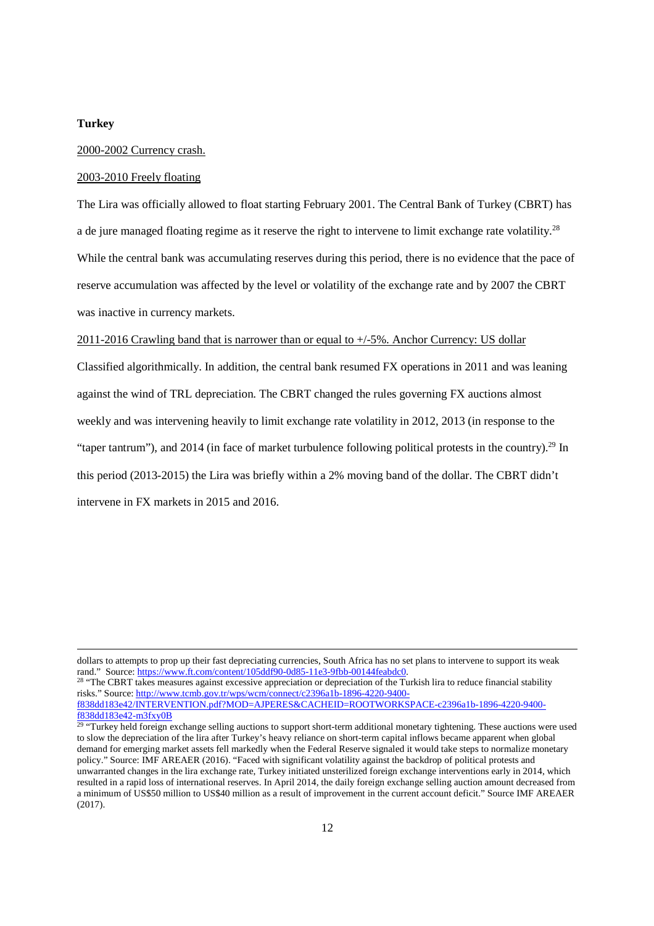#### **Turkey**

<u>.</u>

#### 2000-2002 Currency crash.

## 2003-2010 Freely floating

The Lira was officially allowed to float starting February 2001. The Central Bank of Turkey (CBRT) has a de jure managed floating regime as it reserve the right to intervene to limit exchange rate volatility.<sup>28</sup> While the central bank was accumulating reserves during this period, there is no evidence that the pace of reserve accumulation was affected by the level or volatility of the exchange rate and by 2007 the CBRT was inactive in currency markets.

## 2011-2016 Crawling band that is narrower than or equal to +/-5%. Anchor Currency: US dollar

Classified algorithmically. In addition, the central bank resumed FX operations in 2011 and was leaning against the wind of TRL depreciation. The CBRT changed the rules governing FX auctions almost weekly and was intervening heavily to limit exchange rate volatility in 2012, 2013 (in response to the "taper tantrum"), and 2014 (in face of market turbulence following political protests in the country).<sup>29</sup> In this period (2013-2015) the Lira was briefly within a 2% moving band of the dollar. The CBRT didn't intervene in FX markets in 2015 and 2016.

f838dd183e42-m3fxy0B

dollars to attempts to prop up their fast depreciating currencies, South Africa has no set plans to intervene to support its weak rand." Source: https://www.ft.com/content/105ddf90-0d85-11e3-9fbb-00144feabdc0.

<sup>&</sup>lt;sup>28</sup> "The CBRT takes measures against excessive appreciation or depreciation of the Turkish lira to reduce financial stability risks." Source: http://www.tcmb.gov.tr/wps/wcm/connect/c2396a1b-1896-4220-9400 f838dd183e42/INTERVENTION.pdf?MOD=AJPERES&CACHEID=ROOTWORKSPACE-c2396a1b-1896-4220-9400-

<sup>&</sup>lt;sup>29</sup> "Turkey held foreign exchange selling auctions to support short-term additional monetary tightening. These auctions were used to slow the depreciation of the lira after Turkey's heavy reliance on short-term capital inflows became apparent when global demand for emerging market assets fell markedly when the Federal Reserve signaled it would take steps to normalize monetary policy." Source: IMF AREAER (2016). "Faced with significant volatility against the backdrop of political protests and unwarranted changes in the lira exchange rate, Turkey initiated unsterilized foreign exchange interventions early in 2014, which resulted in a rapid loss of international reserves. In April 2014, the daily foreign exchange selling auction amount decreased from a minimum of US\$50 million to US\$40 million as a result of improvement in the current account deficit." Source IMF AREAER (2017).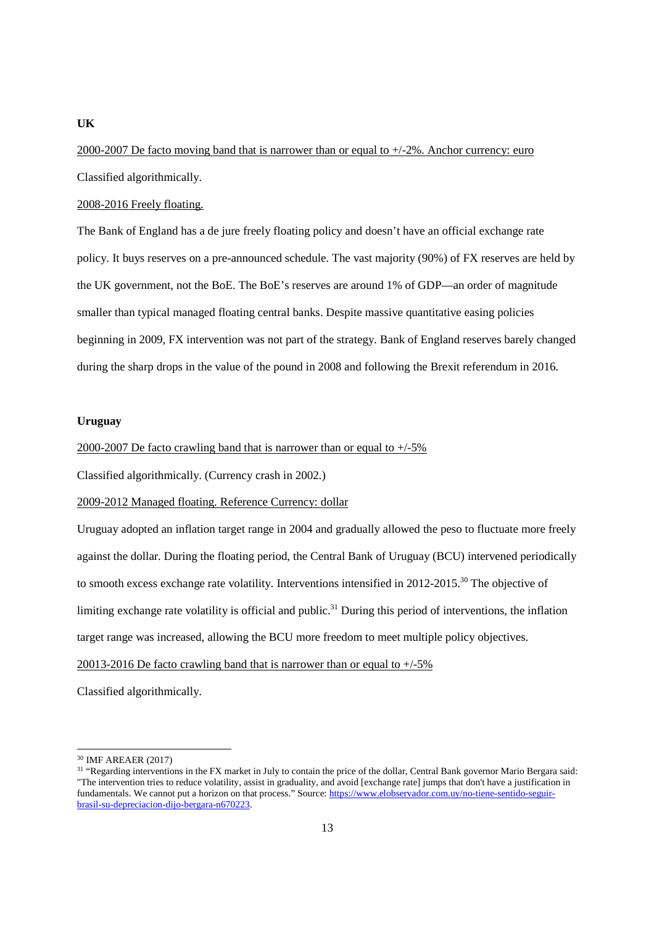2000-2007 De facto moving band that is narrower than or equal to +/-2%. Anchor currency: euro Classified algorithmically.

2008-2016 Freely floating.

The Bank of England has a de jure freely floating policy and doesn't have an official exchange rate policy. It buys reserves on a pre-announced schedule. The vast majority (90%) of FX reserves are held by the UK government, not the BoE. The BoE's reserves are around 1% of GDP—an order of magnitude smaller than typical managed floating central banks. Despite massive quantitative easing policies beginning in 2009, FX intervention was not part of the strategy. Bank of England reserves barely changed during the sharp drops in the value of the pound in 2008 and following the Brexit referendum in 2016.

#### **Uruguay**

#### 2000-2007 De facto crawling band that is narrower than or equal to +/-5%

Classified algorithmically. (Currency crash in 2002.)

## 2009-2012 Managed floating. Reference Currency: dollar

Uruguay adopted an inflation target range in 2004 and gradually allowed the peso to fluctuate more freely against the dollar. During the floating period, the Central Bank of Uruguay (BCU) intervened periodically to smooth excess exchange rate volatility. Interventions intensified in 2012-2015.<sup>30</sup> The objective of limiting exchange rate volatility is official and public.<sup>31</sup> During this period of interventions, the inflation target range was increased, allowing the BCU more freedom to meet multiple policy objectives.

20013-2016 De facto crawling band that is narrower than or equal to +/-5%

Classified algorithmically.

<u>.</u>

#### **UK**

<sup>30</sup> IMF AREAER (2017)

<sup>&</sup>lt;sup>31</sup> "Regarding interventions in the FX market in July to contain the price of the dollar, Central Bank governor Mario Bergara said: "The intervention tries to reduce volatility, assist in graduality, and avoid [exchange rate] jumps that don't have a justification in fundamentals. We cannot put a horizon on that process." Source: https://www.elobservador.com.uy/no-tiene-sentido-seguirbrasil-su-depreciacion-dijo-bergara-n670223.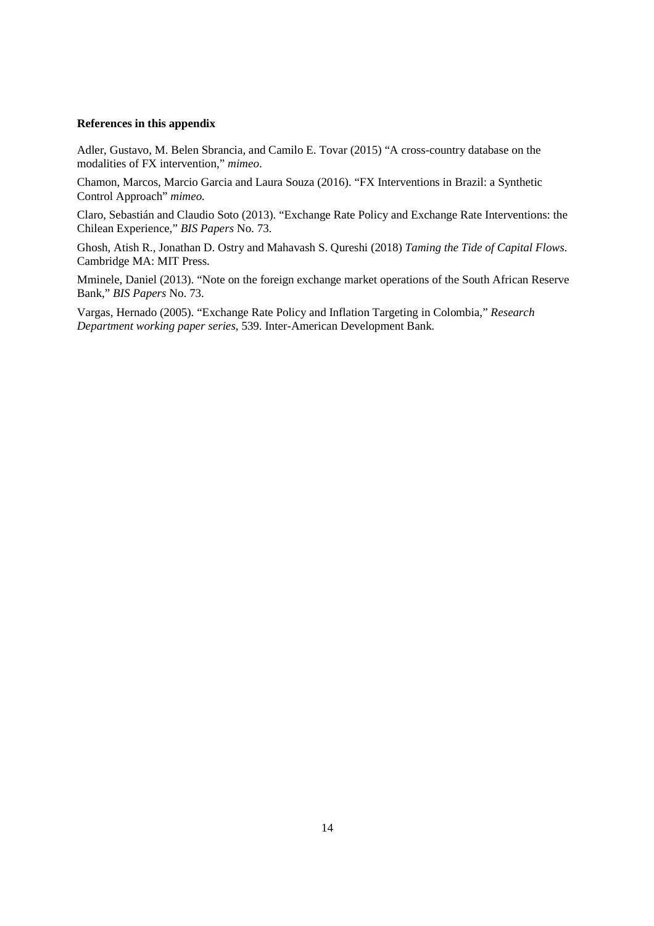#### **References in this appendix**

Adler, Gustavo, M. Belen Sbrancia, and Camilo E. Tovar (2015) "A cross-country database on the modalities of FX intervention," *mimeo*.

Chamon, Marcos, Marcio Garcia and Laura Souza (2016). "FX Interventions in Brazil: a Synthetic Control Approach" *mimeo.* 

Claro, Sebastián and Claudio Soto (2013). "Exchange Rate Policy and Exchange Rate Interventions: the Chilean Experience," *BIS Papers* No. 73.

Ghosh, Atish R., Jonathan D. Ostry and Mahavash S. Qureshi (2018) *Taming the Tide of Capital Flows*. Cambridge MA: MIT Press.

Mminele, Daniel (2013). "Note on the foreign exchange market operations of the South African Reserve Bank," *BIS Papers* No. 73.

Vargas, Hernado (2005). "Exchange Rate Policy and Inflation Targeting in Colombia," *Research Department working paper series*, 539. Inter-American Development Bank.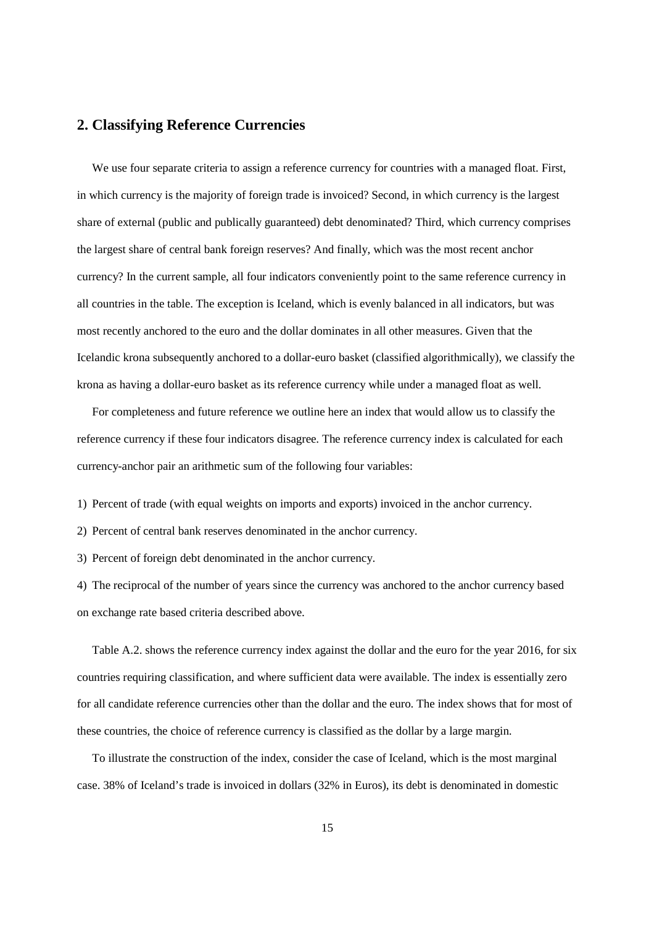# **2. Classifying Reference Currencies**

 We use four separate criteria to assign a reference currency for countries with a managed float. First, in which currency is the majority of foreign trade is invoiced? Second, in which currency is the largest share of external (public and publically guaranteed) debt denominated? Third, which currency comprises the largest share of central bank foreign reserves? And finally, which was the most recent anchor currency? In the current sample, all four indicators conveniently point to the same reference currency in all countries in the table. The exception is Iceland, which is evenly balanced in all indicators, but was most recently anchored to the euro and the dollar dominates in all other measures. Given that the Icelandic krona subsequently anchored to a dollar-euro basket (classified algorithmically), we classify the krona as having a dollar-euro basket as its reference currency while under a managed float as well.

 For completeness and future reference we outline here an index that would allow us to classify the reference currency if these four indicators disagree. The reference currency index is calculated for each currency-anchor pair an arithmetic sum of the following four variables:

1) Percent of trade (with equal weights on imports and exports) invoiced in the anchor currency.

2) Percent of central bank reserves denominated in the anchor currency.

3) Percent of foreign debt denominated in the anchor currency.

4) The reciprocal of the number of years since the currency was anchored to the anchor currency based on exchange rate based criteria described above.

 Table A.2. shows the reference currency index against the dollar and the euro for the year 2016, for six countries requiring classification, and where sufficient data were available. The index is essentially zero for all candidate reference currencies other than the dollar and the euro. The index shows that for most of these countries, the choice of reference currency is classified as the dollar by a large margin.

 To illustrate the construction of the index, consider the case of Iceland, which is the most marginal case. 38% of Iceland's trade is invoiced in dollars (32% in Euros), its debt is denominated in domestic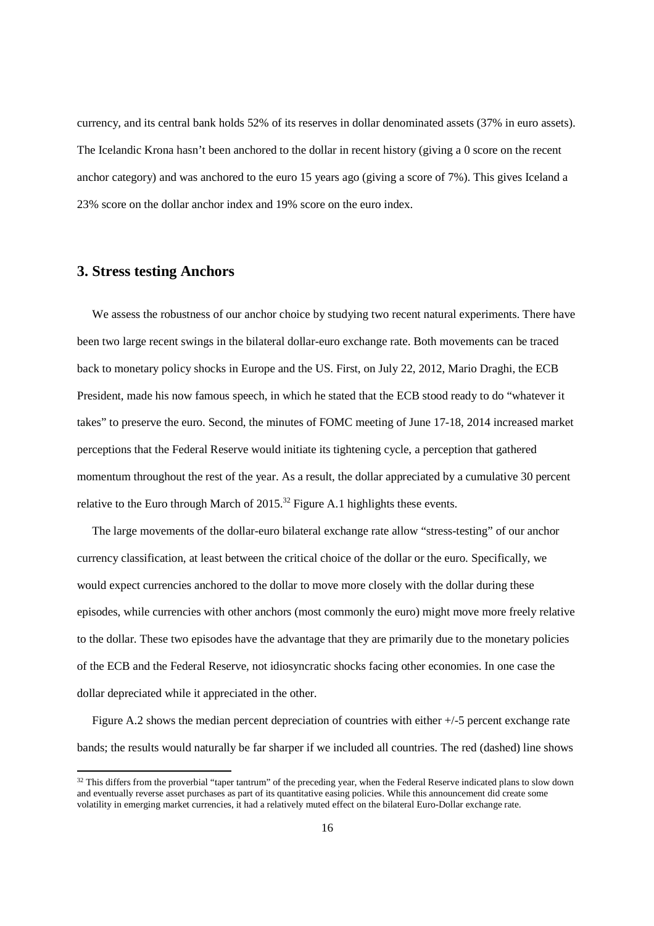currency, and its central bank holds 52% of its reserves in dollar denominated assets (37% in euro assets). The Icelandic Krona hasn't been anchored to the dollar in recent history (giving a 0 score on the recent anchor category) and was anchored to the euro 15 years ago (giving a score of 7%). This gives Iceland a 23% score on the dollar anchor index and 19% score on the euro index.

# **3. Stress testing Anchors**

<u>.</u>

 We assess the robustness of our anchor choice by studying two recent natural experiments. There have been two large recent swings in the bilateral dollar-euro exchange rate. Both movements can be traced back to monetary policy shocks in Europe and the US. First, on July 22, 2012, Mario Draghi, the ECB President, made his now famous speech, in which he stated that the ECB stood ready to do "whatever it takes" to preserve the euro. Second, the minutes of FOMC meeting of June 17-18, 2014 increased market perceptions that the Federal Reserve would initiate its tightening cycle, a perception that gathered momentum throughout the rest of the year. As a result, the dollar appreciated by a cumulative 30 percent relative to the Euro through March of  $2015$ .<sup>32</sup> Figure A.1 highlights these events.

 The large movements of the dollar-euro bilateral exchange rate allow "stress-testing" of our anchor currency classification, at least between the critical choice of the dollar or the euro. Specifically, we would expect currencies anchored to the dollar to move more closely with the dollar during these episodes, while currencies with other anchors (most commonly the euro) might move more freely relative to the dollar. These two episodes have the advantage that they are primarily due to the monetary policies of the ECB and the Federal Reserve, not idiosyncratic shocks facing other economies. In one case the dollar depreciated while it appreciated in the other.

 Figure A.2 shows the median percent depreciation of countries with either +/-5 percent exchange rate bands; the results would naturally be far sharper if we included all countries. The red (dashed) line shows

<sup>&</sup>lt;sup>32</sup> This differs from the proverbial "taper tantrum" of the preceding year, when the Federal Reserve indicated plans to slow down and eventually reverse asset purchases as part of its quantitative easing policies. While this announcement did create some volatility in emerging market currencies, it had a relatively muted effect on the bilateral Euro-Dollar exchange rate.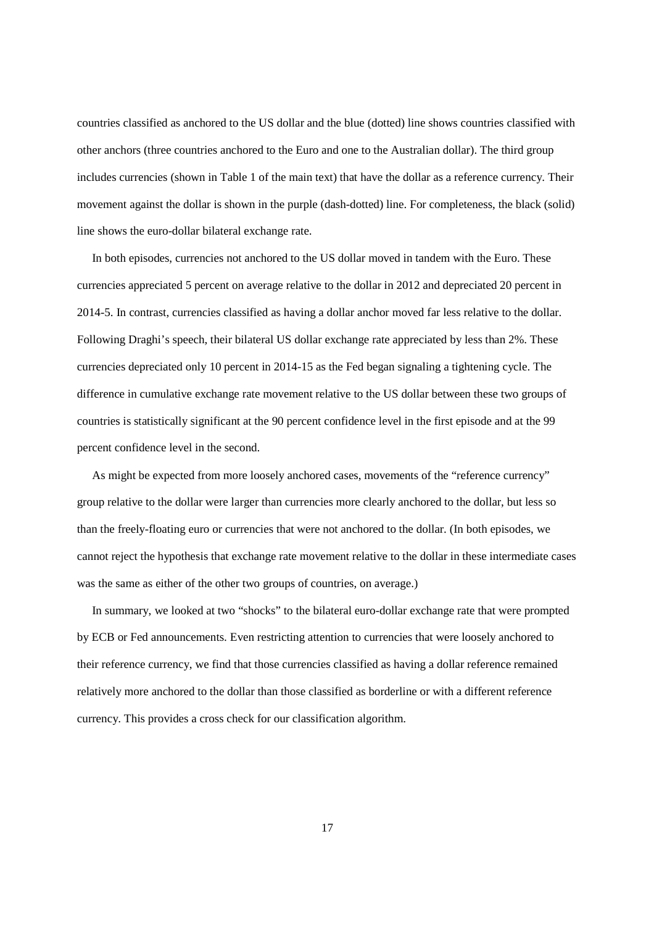countries classified as anchored to the US dollar and the blue (dotted) line shows countries classified with other anchors (three countries anchored to the Euro and one to the Australian dollar). The third group includes currencies (shown in Table 1 of the main text) that have the dollar as a reference currency. Their movement against the dollar is shown in the purple (dash-dotted) line. For completeness, the black (solid) line shows the euro-dollar bilateral exchange rate.

 In both episodes, currencies not anchored to the US dollar moved in tandem with the Euro. These currencies appreciated 5 percent on average relative to the dollar in 2012 and depreciated 20 percent in 2014-5. In contrast, currencies classified as having a dollar anchor moved far less relative to the dollar. Following Draghi's speech, their bilateral US dollar exchange rate appreciated by less than 2%. These currencies depreciated only 10 percent in 2014-15 as the Fed began signaling a tightening cycle. The difference in cumulative exchange rate movement relative to the US dollar between these two groups of countries is statistically significant at the 90 percent confidence level in the first episode and at the 99 percent confidence level in the second.

 As might be expected from more loosely anchored cases, movements of the "reference currency" group relative to the dollar were larger than currencies more clearly anchored to the dollar, but less so than the freely-floating euro or currencies that were not anchored to the dollar. (In both episodes, we cannot reject the hypothesis that exchange rate movement relative to the dollar in these intermediate cases was the same as either of the other two groups of countries, on average.)

 In summary, we looked at two "shocks" to the bilateral euro-dollar exchange rate that were prompted by ECB or Fed announcements. Even restricting attention to currencies that were loosely anchored to their reference currency, we find that those currencies classified as having a dollar reference remained relatively more anchored to the dollar than those classified as borderline or with a different reference currency. This provides a cross check for our classification algorithm.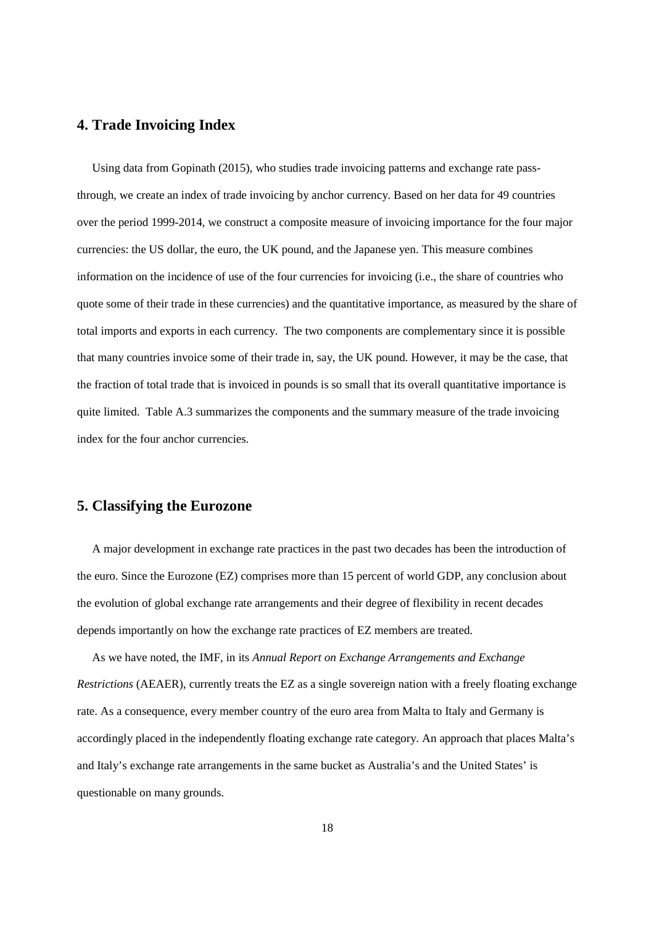# **4. Trade Invoicing Index**

 Using data from Gopinath (2015), who studies trade invoicing patterns and exchange rate passthrough, we create an index of trade invoicing by anchor currency. Based on her data for 49 countries over the period 1999-2014, we construct a composite measure of invoicing importance for the four major currencies: the US dollar, the euro, the UK pound, and the Japanese yen. This measure combines information on the incidence of use of the four currencies for invoicing (i.e., the share of countries who quote some of their trade in these currencies) and the quantitative importance, as measured by the share of total imports and exports in each currency. The two components are complementary since it is possible that many countries invoice some of their trade in, say, the UK pound. However, it may be the case, that the fraction of total trade that is invoiced in pounds is so small that its overall quantitative importance is quite limited. Table A.3 summarizes the components and the summary measure of the trade invoicing index for the four anchor currencies.

# **5. Classifying the Eurozone**

 A major development in exchange rate practices in the past two decades has been the introduction of the euro. Since the Eurozone (EZ) comprises more than 15 percent of world GDP, any conclusion about the evolution of global exchange rate arrangements and their degree of flexibility in recent decades depends importantly on how the exchange rate practices of EZ members are treated.

 As we have noted, the IMF, in its *Annual Report on Exchange Arrangements and Exchange Restrictions* (AEAER), currently treats the EZ as a single sovereign nation with a freely floating exchange rate. As a consequence, every member country of the euro area from Malta to Italy and Germany is accordingly placed in the independently floating exchange rate category. An approach that places Malta's and Italy's exchange rate arrangements in the same bucket as Australia's and the United States' is questionable on many grounds.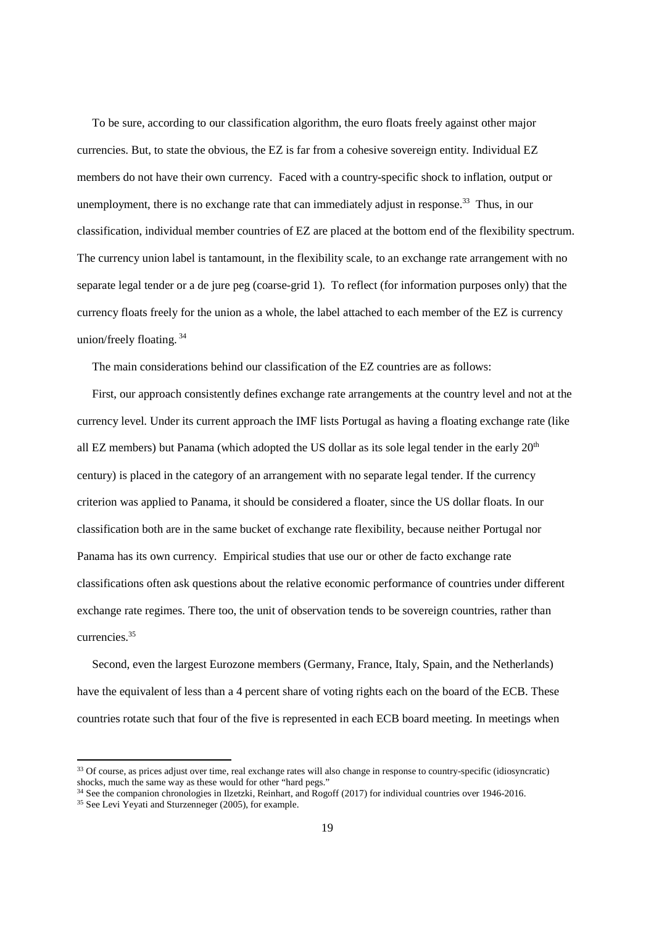To be sure, according to our classification algorithm, the euro floats freely against other major currencies. But, to state the obvious, the EZ is far from a cohesive sovereign entity. Individual EZ members do not have their own currency. Faced with a country-specific shock to inflation, output or unemployment, there is no exchange rate that can immediately adjust in response.<sup>33</sup> Thus, in our classification, individual member countries of EZ are placed at the bottom end of the flexibility spectrum. The currency union label is tantamount, in the flexibility scale, to an exchange rate arrangement with no separate legal tender or a de jure peg (coarse-grid 1). To reflect (for information purposes only) that the currency floats freely for the union as a whole, the label attached to each member of the EZ is currency union/freely floating.<sup>34</sup>

The main considerations behind our classification of the EZ countries are as follows:

 First, our approach consistently defines exchange rate arrangements at the country level and not at the currency level. Under its current approach the IMF lists Portugal as having a floating exchange rate (like all EZ members) but Panama (which adopted the US dollar as its sole legal tender in the early  $20<sup>th</sup>$ century) is placed in the category of an arrangement with no separate legal tender. If the currency criterion was applied to Panama, it should be considered a floater, since the US dollar floats. In our classification both are in the same bucket of exchange rate flexibility, because neither Portugal nor Panama has its own currency. Empirical studies that use our or other de facto exchange rate classifications often ask questions about the relative economic performance of countries under different exchange rate regimes. There too, the unit of observation tends to be sovereign countries, rather than currencies<sup>35</sup>

 Second, even the largest Eurozone members (Germany, France, Italy, Spain, and the Netherlands) have the equivalent of less than a 4 percent share of voting rights each on the board of the ECB. These countries rotate such that four of the five is represented in each ECB board meeting. In meetings when

<sup>34</sup> See the companion chronologies in Ilzetzki, Reinhart, and Rogoff (2017) for individual countries over 1946-2016.

<sup>&</sup>lt;sup>33</sup> Of course, as prices adjust over time, real exchange rates will also change in response to country-specific (idiosyncratic) shocks, much the same way as these would for other "hard pegs."

<sup>35</sup> See Levi Yeyati and Sturzenneger (2005), for example.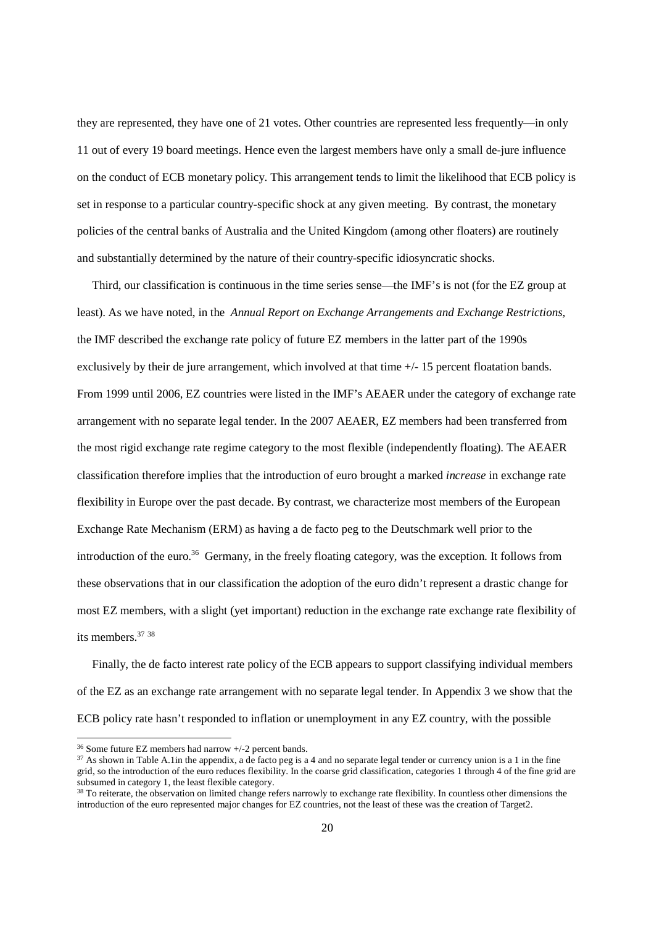they are represented, they have one of 21 votes. Other countries are represented less frequently—in only 11 out of every 19 board meetings. Hence even the largest members have only a small de-jure influence on the conduct of ECB monetary policy. This arrangement tends to limit the likelihood that ECB policy is set in response to a particular country-specific shock at any given meeting. By contrast, the monetary policies of the central banks of Australia and the United Kingdom (among other floaters) are routinely and substantially determined by the nature of their country-specific idiosyncratic shocks.

 Third, our classification is continuous in the time series sense—the IMF's is not (for the EZ group at least). As we have noted, in the *Annual Report on Exchange Arrangements and Exchange Restrictions,*  the IMF described the exchange rate policy of future EZ members in the latter part of the 1990s exclusively by their de jure arrangement, which involved at that time +/- 15 percent floatation bands. From 1999 until 2006, EZ countries were listed in the IMF's AEAER under the category of exchange rate arrangement with no separate legal tender. In the 2007 AEAER, EZ members had been transferred from the most rigid exchange rate regime category to the most flexible (independently floating). The AEAER classification therefore implies that the introduction of euro brought a marked *increase* in exchange rate flexibility in Europe over the past decade. By contrast, we characterize most members of the European Exchange Rate Mechanism (ERM) as having a de facto peg to the Deutschmark well prior to the introduction of the euro.<sup>36</sup> Germany, in the freely floating category, was the exception. It follows from these observations that in our classification the adoption of the euro didn't represent a drastic change for most EZ members, with a slight (yet important) reduction in the exchange rate exchange rate flexibility of its members.<sup>37</sup> 38

 Finally, the de facto interest rate policy of the ECB appears to support classifying individual members of the EZ as an exchange rate arrangement with no separate legal tender. In Appendix 3 we show that the ECB policy rate hasn't responded to inflation or unemployment in any EZ country, with the possible

<sup>36</sup> Some future EZ members had narrow +/-2 percent bands.

<sup>&</sup>lt;sup>37</sup> As shown in Table A.1in the appendix, a de facto peg is a 4 and no separate legal tender or currency union is a 1 in the fine grid, so the introduction of the euro reduces flexibility. In the coarse grid classification, categories 1 through 4 of the fine grid are subsumed in category 1, the least flexible category.

<sup>&</sup>lt;sup>38</sup> To reiterate, the observation on limited change refers narrowly to exchange rate flexibility. In countless other dimensions the introduction of the euro represented major changes for EZ countries, not the least of these was the creation of Target2.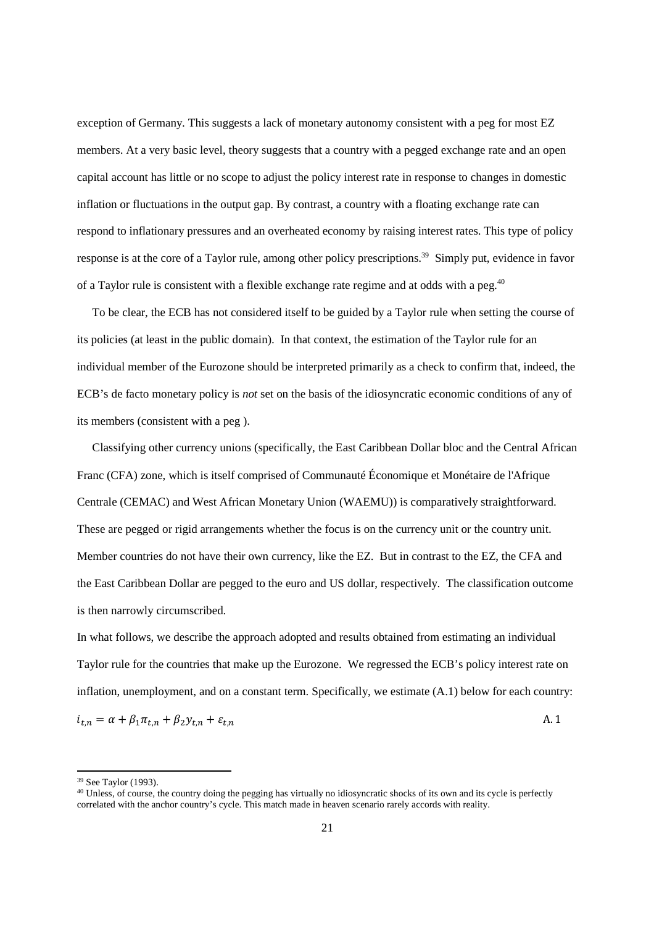exception of Germany. This suggests a lack of monetary autonomy consistent with a peg for most EZ members. At a very basic level, theory suggests that a country with a pegged exchange rate and an open capital account has little or no scope to adjust the policy interest rate in response to changes in domestic inflation or fluctuations in the output gap. By contrast, a country with a floating exchange rate can respond to inflationary pressures and an overheated economy by raising interest rates. This type of policy response is at the core of a Taylor rule, among other policy prescriptions.<sup>39</sup> Simply put, evidence in favor of a Taylor rule is consistent with a flexible exchange rate regime and at odds with a peg.<sup>40</sup>

 To be clear, the ECB has not considered itself to be guided by a Taylor rule when setting the course of its policies (at least in the public domain). In that context, the estimation of the Taylor rule for an individual member of the Eurozone should be interpreted primarily as a check to confirm that, indeed, the ECB's de facto monetary policy is *not* set on the basis of the idiosyncratic economic conditions of any of its members (consistent with a peg ).

 Classifying other currency unions (specifically, the East Caribbean Dollar bloc and the Central African Franc (CFA) zone, which is itself comprised of Communauté Économique et Monétaire de l'Afrique Centrale (CEMAC) and West African Monetary Union (WAEMU)) is comparatively straightforward. These are pegged or rigid arrangements whether the focus is on the currency unit or the country unit. Member countries do not have their own currency, like the EZ. But in contrast to the EZ, the CFA and the East Caribbean Dollar are pegged to the euro and US dollar, respectively. The classification outcome is then narrowly circumscribed.

In what follows, we describe the approach adopted and results obtained from estimating an individual Taylor rule for the countries that make up the Eurozone. We regressed the ECB's policy interest rate on inflation, unemployment, and on a constant term. Specifically, we estimate (A.1) below for each country:  $i_{t,n} = \alpha + \beta_1 \pi_{t,n} + \beta_2 y_{t,n} + \varepsilon_t$  $n$ ,  $\alpha$ 

<sup>39</sup> See Taylor (1993).

<sup>&</sup>lt;sup>40</sup> Unless, of course, the country doing the pegging has virtually no idiosyncratic shocks of its own and its cycle is perfectly correlated with the anchor country's cycle. This match made in heaven scenario rarely accords with reality.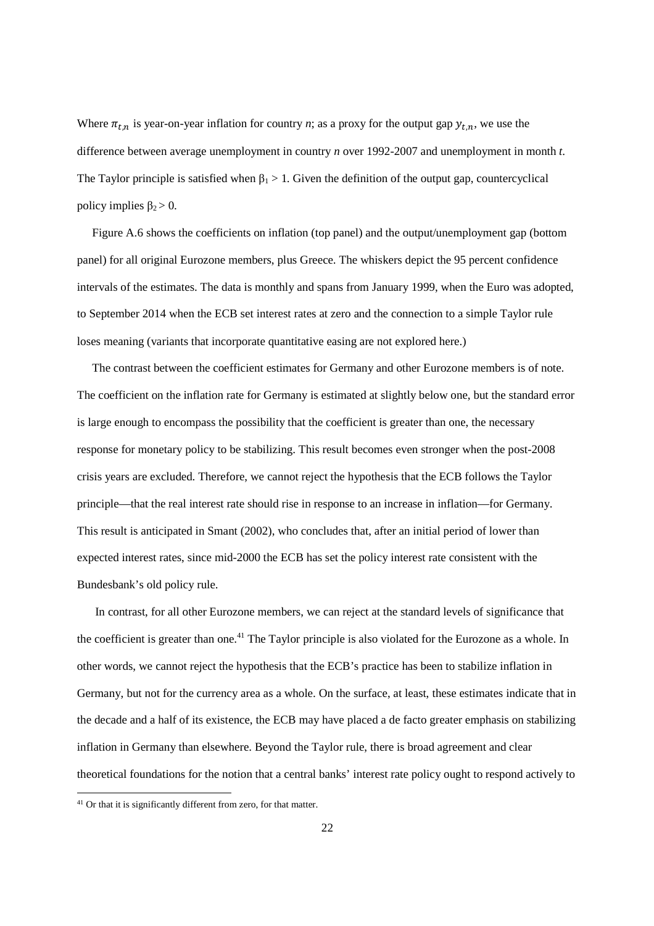Where  $\pi_{t,n}$  is year-on-year inflation for country *n*; as a proxy for the output gap  $y_{t,n}$ , we use the difference between average unemployment in country *n* over 1992-2007 and unemployment in month *t*. The Taylor principle is satisfied when  $\beta_1 > 1$ . Given the definition of the output gap, countercyclical policy implies  $\beta_2 > 0$ .

 Figure A.6 shows the coefficients on inflation (top panel) and the output/unemployment gap (bottom panel) for all original Eurozone members, plus Greece. The whiskers depict the 95 percent confidence intervals of the estimates. The data is monthly and spans from January 1999, when the Euro was adopted, to September 2014 when the ECB set interest rates at zero and the connection to a simple Taylor rule loses meaning (variants that incorporate quantitative easing are not explored here.)

 The contrast between the coefficient estimates for Germany and other Eurozone members is of note. The coefficient on the inflation rate for Germany is estimated at slightly below one, but the standard error is large enough to encompass the possibility that the coefficient is greater than one, the necessary response for monetary policy to be stabilizing. This result becomes even stronger when the post-2008 crisis years are excluded. Therefore, we cannot reject the hypothesis that the ECB follows the Taylor principle—that the real interest rate should rise in response to an increase in inflation—for Germany. This result is anticipated in Smant (2002), who concludes that, after an initial period of lower than expected interest rates, since mid-2000 the ECB has set the policy interest rate consistent with the Bundesbank's old policy rule.

 In contrast, for all other Eurozone members, we can reject at the standard levels of significance that the coefficient is greater than one.<sup>41</sup> The Taylor principle is also violated for the Eurozone as a whole. In other words, we cannot reject the hypothesis that the ECB's practice has been to stabilize inflation in Germany, but not for the currency area as a whole. On the surface, at least, these estimates indicate that in the decade and a half of its existence, the ECB may have placed a de facto greater emphasis on stabilizing inflation in Germany than elsewhere. Beyond the Taylor rule, there is broad agreement and clear theoretical foundations for the notion that a central banks' interest rate policy ought to respond actively to

1

<sup>&</sup>lt;sup>41</sup> Or that it is significantly different from zero, for that matter.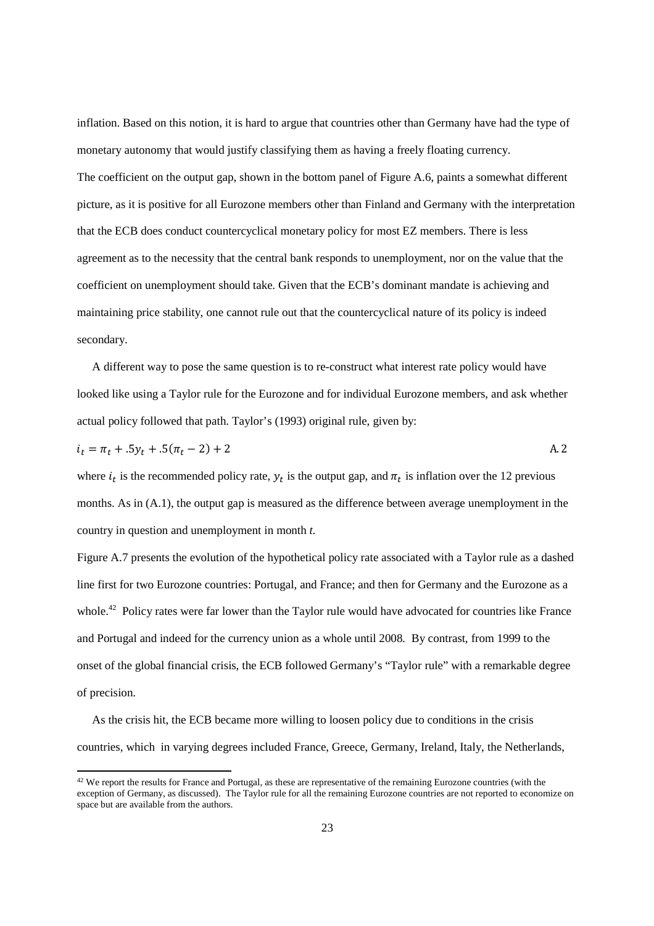inflation. Based on this notion, it is hard to argue that countries other than Germany have had the type of monetary autonomy that would justify classifying them as having a freely floating currency. The coefficient on the output gap, shown in the bottom panel of Figure A.6, paints a somewhat different picture, as it is positive for all Eurozone members other than Finland and Germany with the interpretation that the ECB does conduct countercyclical monetary policy for most EZ members. There is less agreement as to the necessity that the central bank responds to unemployment, nor on the value that the coefficient on unemployment should take. Given that the ECB's dominant mandate is achieving and maintaining price stability, one cannot rule out that the countercyclical nature of its policy is indeed secondary.

 A different way to pose the same question is to re-construct what interest rate policy would have looked like using a Taylor rule for the Eurozone and for individual Eurozone members, and ask whether actual policy followed that path. Taylor's (1993) original rule, given by:

$$
i_t = \pi_t + .5y_t + .5(\pi_t - 2) + 2
$$

where  $i_t$  is the recommended policy rate,  $y_t$  is the output gap, and  $\pi_t$  is inflation over the 12 previous months. As in (A.1), the output gap is measured as the difference between average unemployment in the country in question and unemployment in month *t*.

Figure A.7 presents the evolution of the hypothetical policy rate associated with a Taylor rule as a dashed line first for two Eurozone countries: Portugal, and France; and then for Germany and the Eurozone as a whole.<sup>42</sup> Policy rates were far lower than the Taylor rule would have advocated for countries like France and Portugal and indeed for the currency union as a whole until 2008. By contrast, from 1999 to the onset of the global financial crisis, the ECB followed Germany's "Taylor rule" with a remarkable degree of precision.

 As the crisis hit, the ECB became more willing to loosen policy due to conditions in the crisis countries, which in varying degrees included France, Greece, Germany, Ireland, Italy, the Netherlands,

<sup>&</sup>lt;sup>42</sup> We report the results for France and Portugal, as these are representative of the remaining Eurozone countries (with the exception of Germany, as discussed). The Taylor rule for all the remaining Eurozone countries are not reported to economize on space but are available from the authors.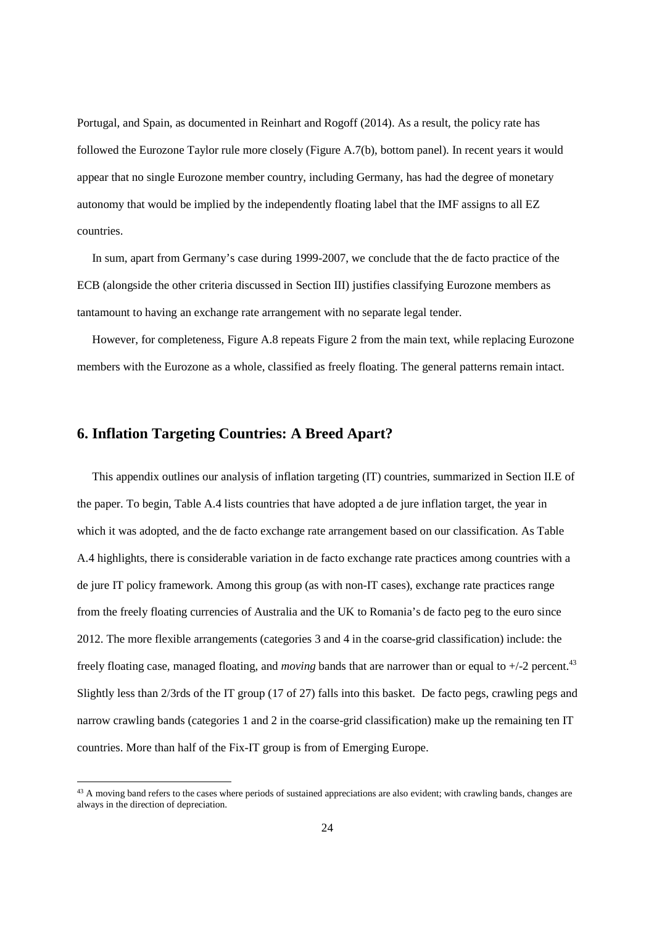Portugal, and Spain, as documented in Reinhart and Rogoff (2014). As a result, the policy rate has followed the Eurozone Taylor rule more closely (Figure A.7(b), bottom panel). In recent years it would appear that no single Eurozone member country, including Germany, has had the degree of monetary autonomy that would be implied by the independently floating label that the IMF assigns to all EZ countries.

 In sum, apart from Germany's case during 1999-2007, we conclude that the de facto practice of the ECB (alongside the other criteria discussed in Section III) justifies classifying Eurozone members as tantamount to having an exchange rate arrangement with no separate legal tender.

 However, for completeness, Figure A.8 repeats Figure 2 from the main text, while replacing Eurozone members with the Eurozone as a whole, classified as freely floating. The general patterns remain intact.

# **6. Inflation Targeting Countries: A Breed Apart?**

1

 This appendix outlines our analysis of inflation targeting (IT) countries, summarized in Section II.E of the paper. To begin, Table A.4 lists countries that have adopted a de jure inflation target, the year in which it was adopted, and the de facto exchange rate arrangement based on our classification. As Table A.4 highlights, there is considerable variation in de facto exchange rate practices among countries with a de jure IT policy framework. Among this group (as with non-IT cases), exchange rate practices range from the freely floating currencies of Australia and the UK to Romania's de facto peg to the euro since 2012. The more flexible arrangements (categories 3 and 4 in the coarse-grid classification) include: the freely floating case, managed floating, and *moving* bands that are narrower than or equal to +/-2 percent.<sup>43</sup> Slightly less than 2/3rds of the IT group (17 of 27) falls into this basket. De facto pegs, crawling pegs and narrow crawling bands (categories 1 and 2 in the coarse-grid classification) make up the remaining ten IT countries. More than half of the Fix-IT group is from of Emerging Europe.

<sup>&</sup>lt;sup>43</sup> A moving band refers to the cases where periods of sustained appreciations are also evident; with crawling bands, changes are always in the direction of depreciation.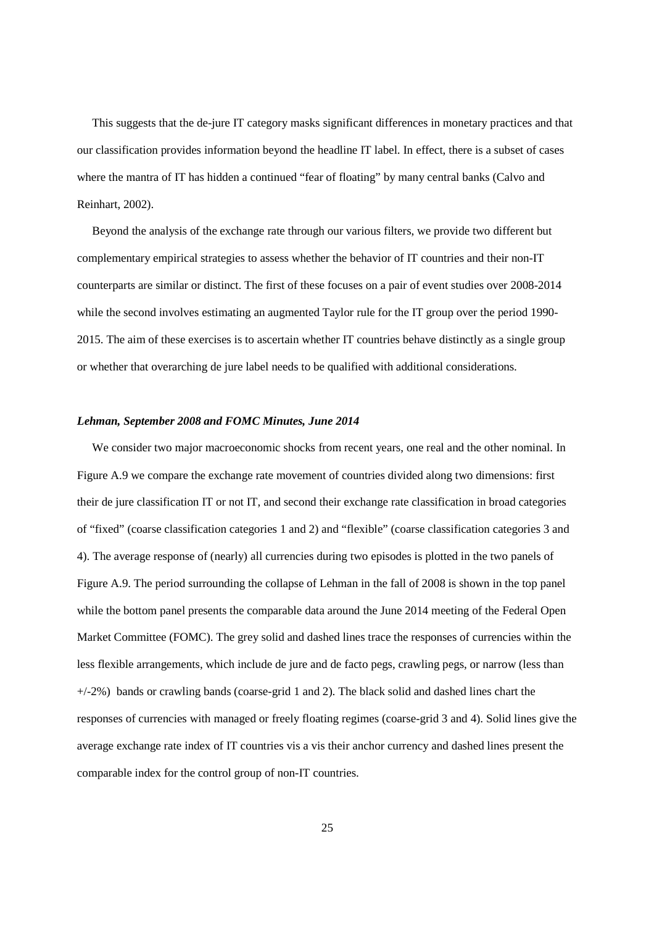This suggests that the de-jure IT category masks significant differences in monetary practices and that our classification provides information beyond the headline IT label. In effect, there is a subset of cases where the mantra of IT has hidden a continued "fear of floating" by many central banks (Calvo and Reinhart, 2002).

 Beyond the analysis of the exchange rate through our various filters, we provide two different but complementary empirical strategies to assess whether the behavior of IT countries and their non-IT counterparts are similar or distinct. The first of these focuses on a pair of event studies over 2008-2014 while the second involves estimating an augmented Taylor rule for the IT group over the period 1990-2015. The aim of these exercises is to ascertain whether IT countries behave distinctly as a single group or whether that overarching de jure label needs to be qualified with additional considerations.

## *Lehman, September 2008 and FOMC Minutes, June 2014*

 We consider two major macroeconomic shocks from recent years, one real and the other nominal. In Figure A.9 we compare the exchange rate movement of countries divided along two dimensions: first their de jure classification IT or not IT, and second their exchange rate classification in broad categories of "fixed" (coarse classification categories 1 and 2) and "flexible" (coarse classification categories 3 and 4). The average response of (nearly) all currencies during two episodes is plotted in the two panels of Figure A.9. The period surrounding the collapse of Lehman in the fall of 2008 is shown in the top panel while the bottom panel presents the comparable data around the June 2014 meeting of the Federal Open Market Committee (FOMC). The grey solid and dashed lines trace the responses of currencies within the less flexible arrangements, which include de jure and de facto pegs, crawling pegs, or narrow (less than  $+/-2%$ ) bands or crawling bands (coarse-grid 1 and 2). The black solid and dashed lines chart the responses of currencies with managed or freely floating regimes (coarse-grid 3 and 4). Solid lines give the average exchange rate index of IT countries vis a vis their anchor currency and dashed lines present the comparable index for the control group of non-IT countries.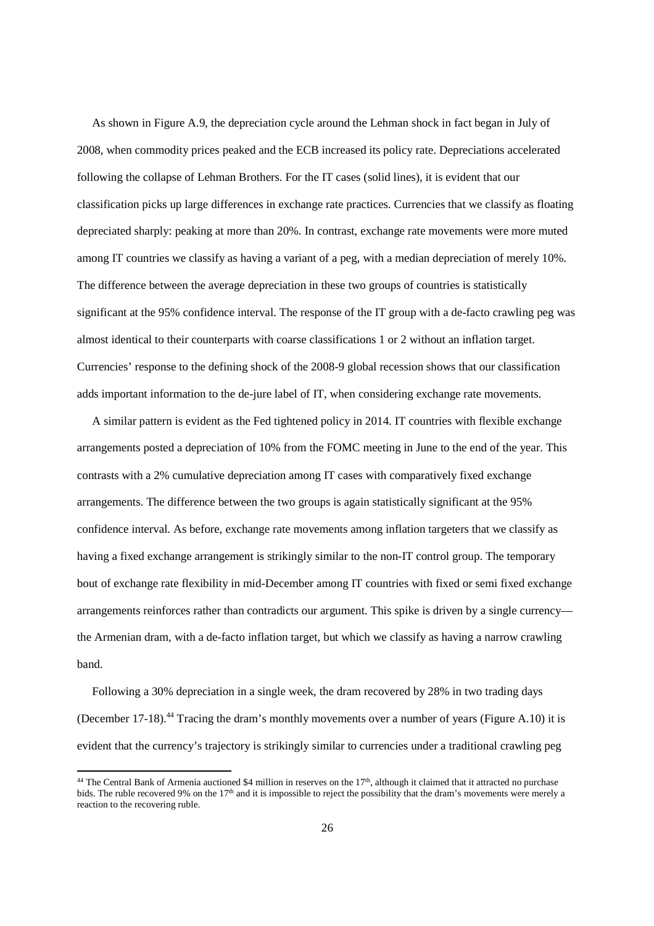As shown in Figure A.9, the depreciation cycle around the Lehman shock in fact began in July of 2008, when commodity prices peaked and the ECB increased its policy rate. Depreciations accelerated following the collapse of Lehman Brothers. For the IT cases (solid lines), it is evident that our classification picks up large differences in exchange rate practices. Currencies that we classify as floating depreciated sharply: peaking at more than 20%. In contrast, exchange rate movements were more muted among IT countries we classify as having a variant of a peg, with a median depreciation of merely 10%. The difference between the average depreciation in these two groups of countries is statistically significant at the 95% confidence interval. The response of the IT group with a de-facto crawling peg was almost identical to their counterparts with coarse classifications 1 or 2 without an inflation target. Currencies' response to the defining shock of the 2008-9 global recession shows that our classification adds important information to the de-jure label of IT, when considering exchange rate movements.

 A similar pattern is evident as the Fed tightened policy in 2014. IT countries with flexible exchange arrangements posted a depreciation of 10% from the FOMC meeting in June to the end of the year. This contrasts with a 2% cumulative depreciation among IT cases with comparatively fixed exchange arrangements. The difference between the two groups is again statistically significant at the 95% confidence interval. As before, exchange rate movements among inflation targeters that we classify as having a fixed exchange arrangement is strikingly similar to the non-IT control group. The temporary bout of exchange rate flexibility in mid-December among IT countries with fixed or semi fixed exchange arrangements reinforces rather than contradicts our argument. This spike is driven by a single currency the Armenian dram, with a de-facto inflation target, but which we classify as having a narrow crawling band.

 Following a 30% depreciation in a single week, the dram recovered by 28% in two trading days (December 17-18).<sup>44</sup> Tracing the dram's monthly movements over a number of years (Figure A.10) it is evident that the currency's trajectory is strikingly similar to currencies under a traditional crawling peg

 $44$  The Central Bank of Armenia auctioned \$4 million in reserves on the  $17<sup>th</sup>$ , although it claimed that it attracted no purchase bids. The ruble recovered 9% on the 17<sup>th</sup> and it is impossible to reject the possibility that the dram's movements were merely a reaction to the recovering ruble.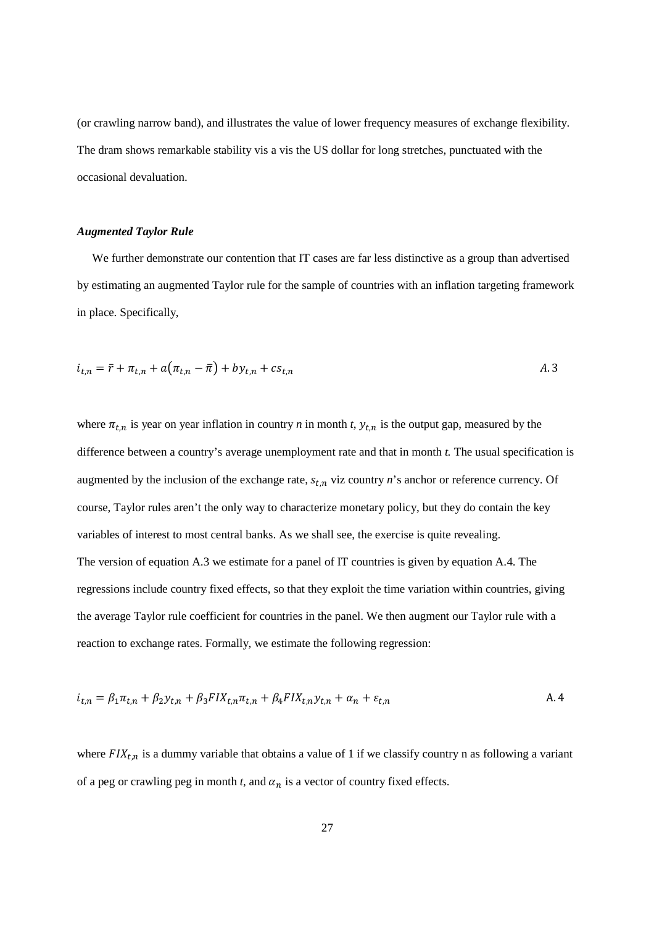(or crawling narrow band), and illustrates the value of lower frequency measures of exchange flexibility. The dram shows remarkable stability vis a vis the US dollar for long stretches, punctuated with the occasional devaluation.

## *Augmented Taylor Rule*

We further demonstrate our contention that IT cases are far less distinctive as a group than advertised by estimating an augmented Taylor rule for the sample of countries with an inflation targeting framework in place. Specifically,

$$
i_{t,n} = \bar{r} + \pi_{t,n} + a(\pi_{t,n} - \bar{\pi}) + by_{t,n} + cs_{t,n}
$$

where  $\pi_{t,n}$  is year on year inflation in country *n* in month *t*,  $y_{t,n}$  is the output gap, measured by the difference between a country's average unemployment rate and that in month *t.* The usual specification is augmented by the inclusion of the exchange rate,  $s_{t,n}$  viz country  $n$ 's anchor or reference currency. Of course, Taylor rules aren't the only way to characterize monetary policy, but they do contain the key variables of interest to most central banks. As we shall see, the exercise is quite revealing. The version of equation A.3 we estimate for a panel of IT countries is given by equation A.4. The regressions include country fixed effects, so that they exploit the time variation within countries, giving the average Taylor rule coefficient for countries in the panel. We then augment our Taylor rule with a reaction to exchange rates. Formally, we estimate the following regression:

$$
i_{t,n} = \beta_1 \pi_{t,n} + \beta_2 y_{t,n} + \beta_3 F I X_{t,n} \pi_{t,n} + \beta_4 F I X_{t,n} y_{t,n} + \alpha_n + \varepsilon_{t,n}
$$

where  *is a dummy variable that obtains a value of 1 if we classify country n as following a variant* of a peg or crawling peg in month  $t$ , and  $\alpha_n$  is a vector of country fixed effects.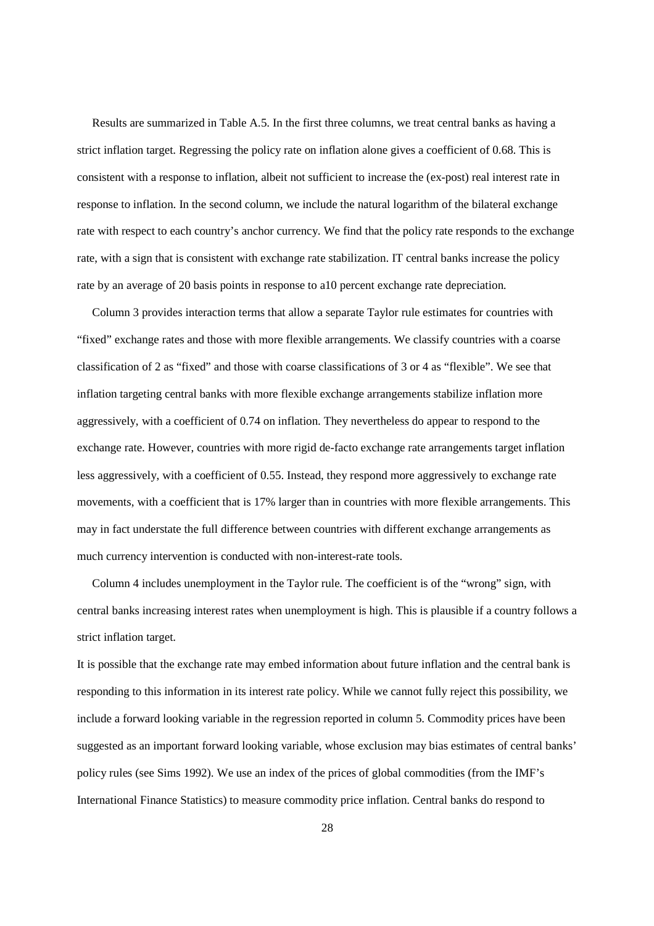Results are summarized in Table A.5. In the first three columns, we treat central banks as having a strict inflation target. Regressing the policy rate on inflation alone gives a coefficient of 0.68. This is consistent with a response to inflation, albeit not sufficient to increase the (ex-post) real interest rate in response to inflation. In the second column, we include the natural logarithm of the bilateral exchange rate with respect to each country's anchor currency. We find that the policy rate responds to the exchange rate, with a sign that is consistent with exchange rate stabilization. IT central banks increase the policy rate by an average of 20 basis points in response to a10 percent exchange rate depreciation.

 Column 3 provides interaction terms that allow a separate Taylor rule estimates for countries with "fixed" exchange rates and those with more flexible arrangements. We classify countries with a coarse classification of 2 as "fixed" and those with coarse classifications of 3 or 4 as "flexible". We see that inflation targeting central banks with more flexible exchange arrangements stabilize inflation more aggressively, with a coefficient of 0.74 on inflation. They nevertheless do appear to respond to the exchange rate. However, countries with more rigid de-facto exchange rate arrangements target inflation less aggressively, with a coefficient of 0.55. Instead, they respond more aggressively to exchange rate movements, with a coefficient that is 17% larger than in countries with more flexible arrangements. This may in fact understate the full difference between countries with different exchange arrangements as much currency intervention is conducted with non-interest-rate tools.

 Column 4 includes unemployment in the Taylor rule. The coefficient is of the "wrong" sign, with central banks increasing interest rates when unemployment is high. This is plausible if a country follows a strict inflation target.

It is possible that the exchange rate may embed information about future inflation and the central bank is responding to this information in its interest rate policy. While we cannot fully reject this possibility, we include a forward looking variable in the regression reported in column 5. Commodity prices have been suggested as an important forward looking variable, whose exclusion may bias estimates of central banks' policy rules (see Sims 1992). We use an index of the prices of global commodities (from the IMF's International Finance Statistics) to measure commodity price inflation. Central banks do respond to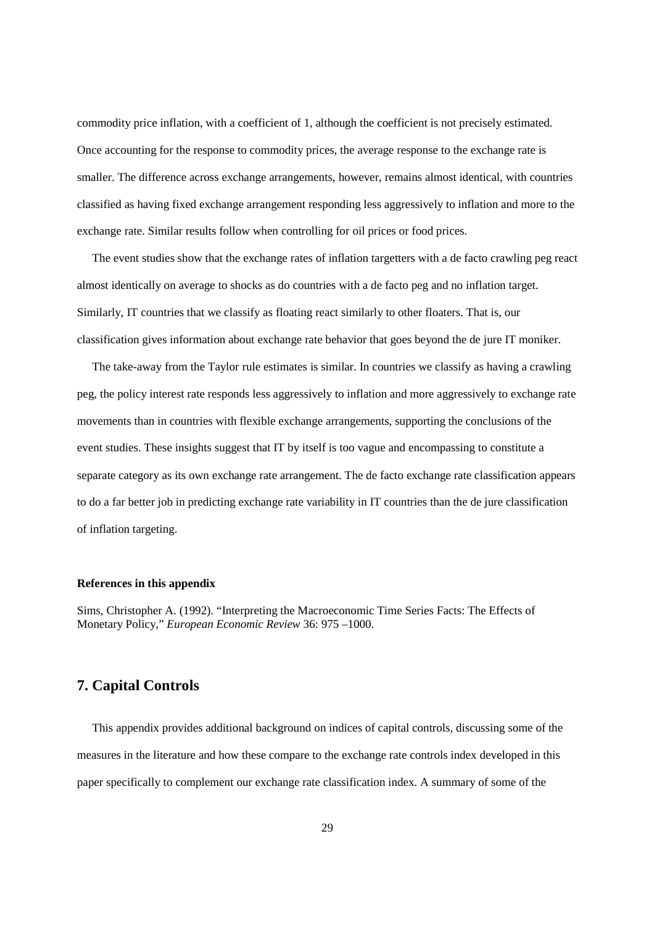commodity price inflation, with a coefficient of 1, although the coefficient is not precisely estimated. Once accounting for the response to commodity prices, the average response to the exchange rate is smaller. The difference across exchange arrangements, however, remains almost identical, with countries classified as having fixed exchange arrangement responding less aggressively to inflation and more to the exchange rate. Similar results follow when controlling for oil prices or food prices.

 The event studies show that the exchange rates of inflation targetters with a de facto crawling peg react almost identically on average to shocks as do countries with a de facto peg and no inflation target. Similarly, IT countries that we classify as floating react similarly to other floaters. That is, our classification gives information about exchange rate behavior that goes beyond the de jure IT moniker.

 The take-away from the Taylor rule estimates is similar. In countries we classify as having a crawling peg, the policy interest rate responds less aggressively to inflation and more aggressively to exchange rate movements than in countries with flexible exchange arrangements, supporting the conclusions of the event studies. These insights suggest that IT by itself is too vague and encompassing to constitute a separate category as its own exchange rate arrangement. The de facto exchange rate classification appears to do a far better job in predicting exchange rate variability in IT countries than the de jure classification of inflation targeting.

# **References in this appendix**

Sims, Christopher A. (1992). "Interpreting the Macroeconomic Time Series Facts: The Effects of Monetary Policy," *European Economic Review* 36: 975 –1000.

# **7. Capital Controls**

 This appendix provides additional background on indices of capital controls, discussing some of the measures in the literature and how these compare to the exchange rate controls index developed in this paper specifically to complement our exchange rate classification index. A summary of some of the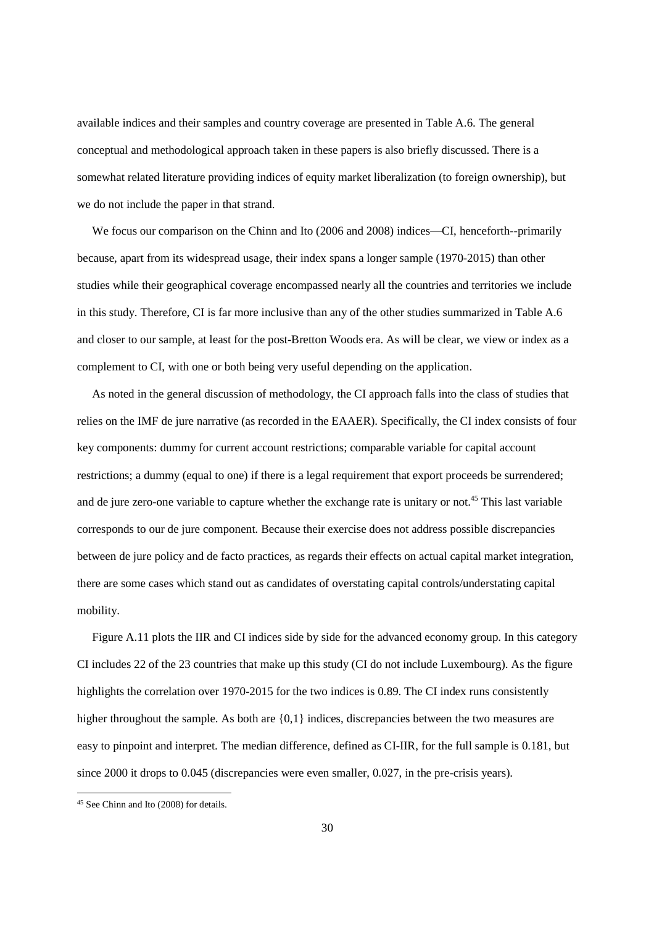available indices and their samples and country coverage are presented in Table A.6. The general conceptual and methodological approach taken in these papers is also briefly discussed. There is a somewhat related literature providing indices of equity market liberalization (to foreign ownership), but we do not include the paper in that strand.

 We focus our comparison on the Chinn and Ito (2006 and 2008) indices—CI, henceforth--primarily because, apart from its widespread usage, their index spans a longer sample (1970-2015) than other studies while their geographical coverage encompassed nearly all the countries and territories we include in this study. Therefore, CI is far more inclusive than any of the other studies summarized in Table A.6 and closer to our sample, at least for the post-Bretton Woods era. As will be clear, we view or index as a complement to CI, with one or both being very useful depending on the application.

 As noted in the general discussion of methodology, the CI approach falls into the class of studies that relies on the IMF de jure narrative (as recorded in the EAAER). Specifically, the CI index consists of four key components: dummy for current account restrictions; comparable variable for capital account restrictions; a dummy (equal to one) if there is a legal requirement that export proceeds be surrendered; and de jure zero-one variable to capture whether the exchange rate is unitary or not.<sup>45</sup> This last variable corresponds to our de jure component. Because their exercise does not address possible discrepancies between de jure policy and de facto practices, as regards their effects on actual capital market integration, there are some cases which stand out as candidates of overstating capital controls/understating capital mobility.

 Figure A.11 plots the IIR and CI indices side by side for the advanced economy group. In this category CI includes 22 of the 23 countries that make up this study (CI do not include Luxembourg). As the figure highlights the correlation over 1970-2015 for the two indices is 0.89. The CI index runs consistently higher throughout the sample. As both are  $\{0,1\}$  indices, discrepancies between the two measures are easy to pinpoint and interpret. The median difference, defined as CI-IIR, for the full sample is 0.181, but since 2000 it drops to 0.045 (discrepancies were even smaller, 0.027, in the pre-crisis years).

1

<sup>45</sup> See Chinn and Ito (2008) for details.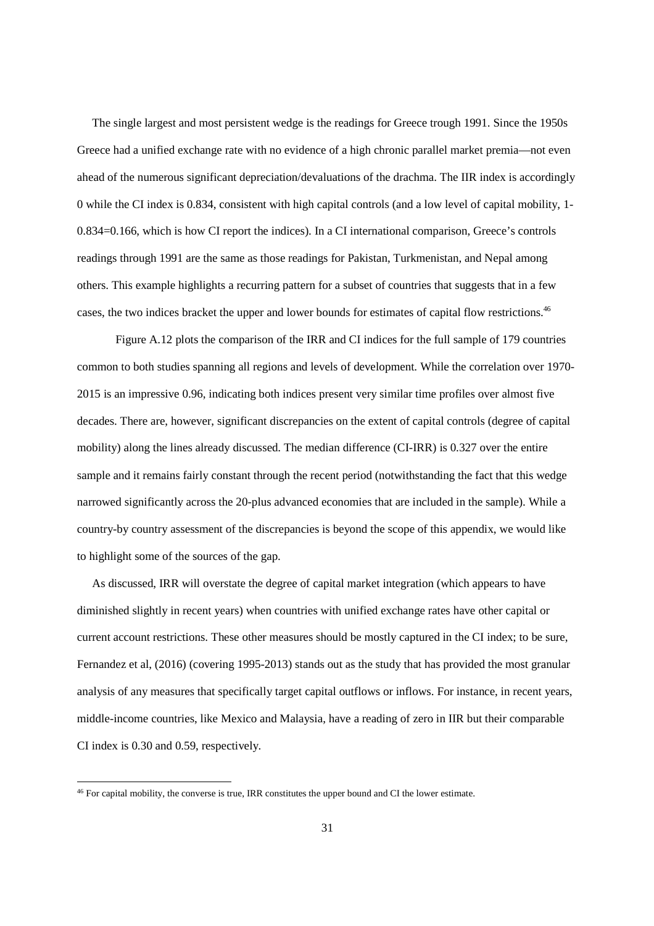The single largest and most persistent wedge is the readings for Greece trough 1991. Since the 1950s Greece had a unified exchange rate with no evidence of a high chronic parallel market premia—not even ahead of the numerous significant depreciation/devaluations of the drachma. The IIR index is accordingly 0 while the CI index is 0.834, consistent with high capital controls (and a low level of capital mobility, 1- 0.834=0.166, which is how CI report the indices). In a CI international comparison, Greece's controls readings through 1991 are the same as those readings for Pakistan, Turkmenistan, and Nepal among others. This example highlights a recurring pattern for a subset of countries that suggests that in a few cases, the two indices bracket the upper and lower bounds for estimates of capital flow restrictions.<sup>46</sup>

Figure A.12 plots the comparison of the IRR and CI indices for the full sample of 179 countries common to both studies spanning all regions and levels of development. While the correlation over 1970- 2015 is an impressive 0.96, indicating both indices present very similar time profiles over almost five decades. There are, however, significant discrepancies on the extent of capital controls (degree of capital mobility) along the lines already discussed. The median difference (CI-IRR) is 0.327 over the entire sample and it remains fairly constant through the recent period (notwithstanding the fact that this wedge narrowed significantly across the 20-plus advanced economies that are included in the sample). While a country-by country assessment of the discrepancies is beyond the scope of this appendix, we would like to highlight some of the sources of the gap.

 As discussed, IRR will overstate the degree of capital market integration (which appears to have diminished slightly in recent years) when countries with unified exchange rates have other capital or current account restrictions. These other measures should be mostly captured in the CI index; to be sure, Fernandez et al, (2016) (covering 1995-2013) stands out as the study that has provided the most granular analysis of any measures that specifically target capital outflows or inflows. For instance, in recent years, middle-income countries, like Mexico and Malaysia, have a reading of zero in IIR but their comparable CI index is 0.30 and 0.59, respectively.

1

<sup>&</sup>lt;sup>46</sup> For capital mobility, the converse is true, IRR constitutes the upper bound and CI the lower estimate.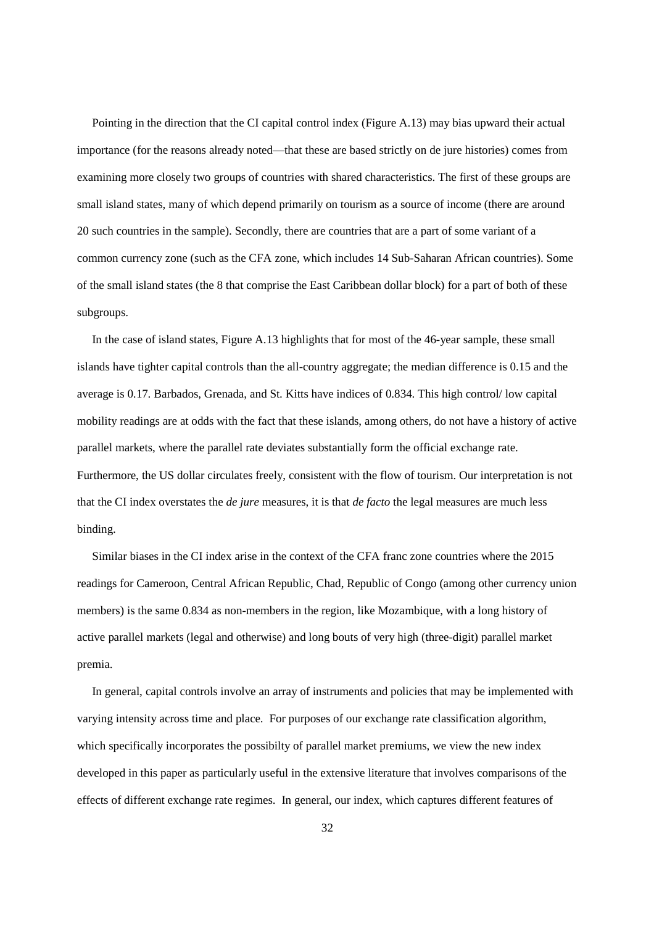Pointing in the direction that the CI capital control index (Figure A.13) may bias upward their actual importance (for the reasons already noted—that these are based strictly on de jure histories) comes from examining more closely two groups of countries with shared characteristics. The first of these groups are small island states, many of which depend primarily on tourism as a source of income (there are around 20 such countries in the sample). Secondly, there are countries that are a part of some variant of a common currency zone (such as the CFA zone, which includes 14 Sub-Saharan African countries). Some of the small island states (the 8 that comprise the East Caribbean dollar block) for a part of both of these subgroups.

 In the case of island states, Figure A.13 highlights that for most of the 46-year sample, these small islands have tighter capital controls than the all-country aggregate; the median difference is 0.15 and the average is 0.17. Barbados, Grenada, and St. Kitts have indices of 0.834. This high control/ low capital mobility readings are at odds with the fact that these islands, among others, do not have a history of active parallel markets, where the parallel rate deviates substantially form the official exchange rate. Furthermore, the US dollar circulates freely, consistent with the flow of tourism. Our interpretation is not that the CI index overstates the *de jure* measures, it is that *de facto* the legal measures are much less binding.

 Similar biases in the CI index arise in the context of the CFA franc zone countries where the 2015 readings for Cameroon, Central African Republic, Chad, Republic of Congo (among other currency union members) is the same 0.834 as non-members in the region, like Mozambique, with a long history of active parallel markets (legal and otherwise) and long bouts of very high (three-digit) parallel market premia.

 In general, capital controls involve an array of instruments and policies that may be implemented with varying intensity across time and place. For purposes of our exchange rate classification algorithm, which specifically incorporates the possibilty of parallel market premiums, we view the new index developed in this paper as particularly useful in the extensive literature that involves comparisons of the effects of different exchange rate regimes. In general, our index, which captures different features of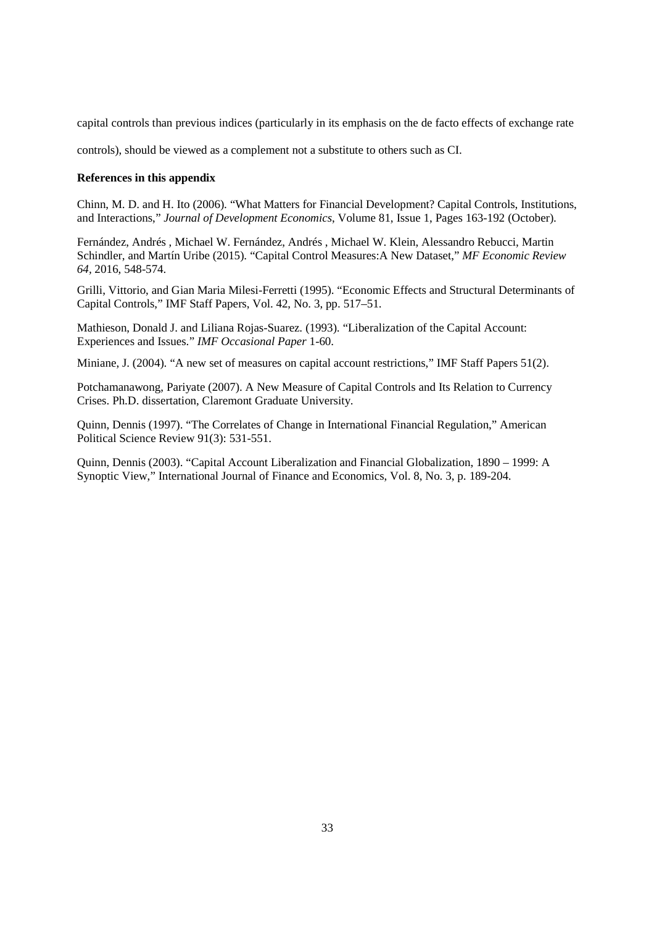capital controls than previous indices (particularly in its emphasis on the de facto effects of exchange rate

controls), should be viewed as a complement not a substitute to others such as CI.

#### **References in this appendix**

Chinn, M. D. and H. Ito (2006). "What Matters for Financial Development? Capital Controls, Institutions, and Interactions," *Journal of Development Economics*, Volume 81, Issue 1, Pages 163-192 (October).

Fernández, Andrés , Michael W. Fernández, Andrés , Michael W. Klein, Alessandro Rebucci, Martin Schindler, and Martín Uribe (2015). "Capital Control Measures:A New Dataset," *MF Economic Review 64,* 2016, 548-574.

Grilli, Vittorio, and Gian Maria Milesi-Ferretti (1995). "Economic Effects and Structural Determinants of Capital Controls," IMF Staff Papers, Vol. 42, No. 3, pp. 517–51.

Mathieson, Donald J. and Liliana Rojas-Suarez. (1993). "Liberalization of the Capital Account: Experiences and Issues." *IMF Occasional Paper* 1-60.

Miniane, J. (2004). "A new set of measures on capital account restrictions," IMF Staff Papers 51(2).

Potchamanawong, Pariyate (2007). A New Measure of Capital Controls and Its Relation to Currency Crises. Ph.D. dissertation, Claremont Graduate University.

Quinn, Dennis (1997). "The Correlates of Change in International Financial Regulation," American Political Science Review 91(3): 531-551.

Quinn, Dennis (2003). "Capital Account Liberalization and Financial Globalization, 1890 – 1999: A Synoptic View," International Journal of Finance and Economics, Vol. 8, No. 3, p. 189-204.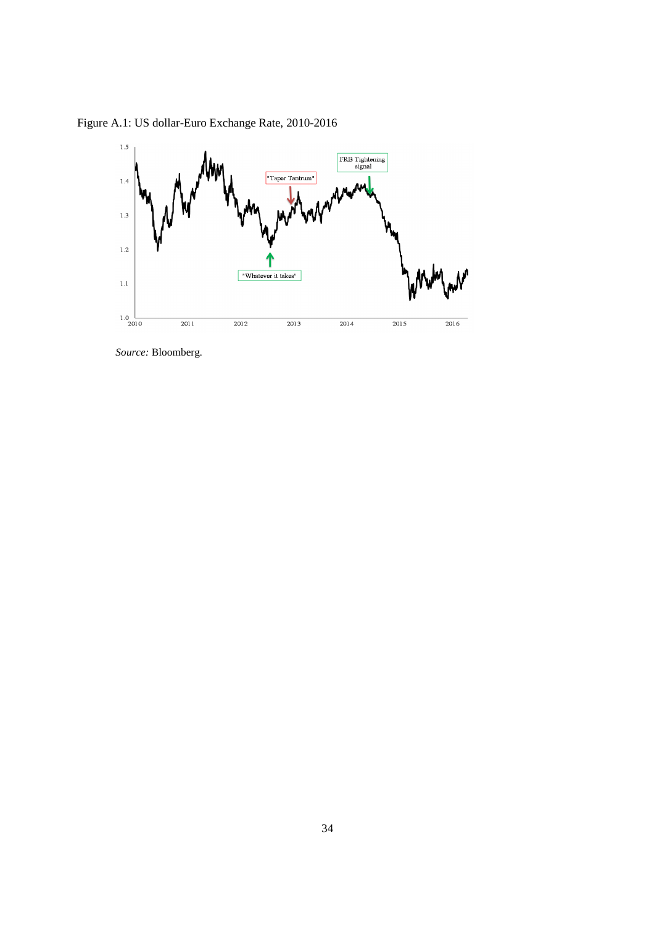Figure A.1: US dollar-Euro Exchange Rate, 2010-2016



*Source:* Bloomberg.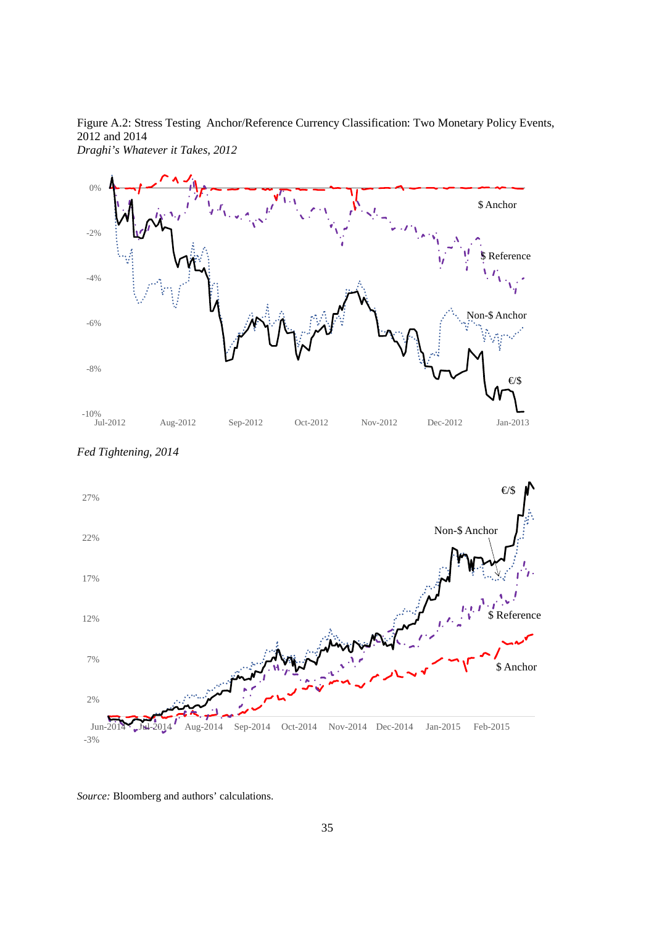Figure A.2: Stress Testing Anchor/Reference Currency Classification: Two Monetary Policy Events, 2012 and 2014 *Draghi's Whatever it Takes, 2012* 



€/\$ Non-\$ Anchor \$ Anchor **Reference** -3% 2% 7% 12% 17% 22% 27% Jun-2014 Jul-2014 Aug-2014 Sep-2014 Oct-2014 Nov-2014 Dec-2014 Jan-2015 Feb-2015

*Fed Tightening, 2014* 

*Source:* Bloomberg and authors' calculations.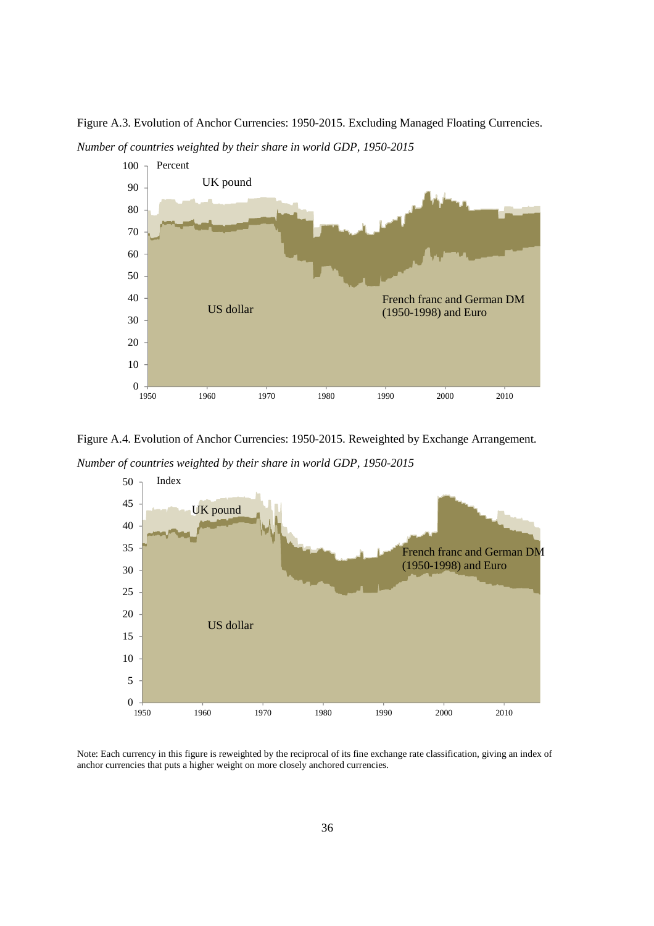Figure A.3. Evolution of Anchor Currencies: 1950-2015. Excluding Managed Floating Currencies. *Number of countries weighted by their share in world GDP, 1950-2015* 



Figure A.4. Evolution of Anchor Currencies: 1950-2015. Reweighted by Exchange Arrangement.

*Number of countries weighted by their share in world GDP, 1950-2015* 



Note: Each currency in this figure is reweighted by the reciprocal of its fine exchange rate classification, giving an index of anchor currencies that puts a higher weight on more closely anchored currencies.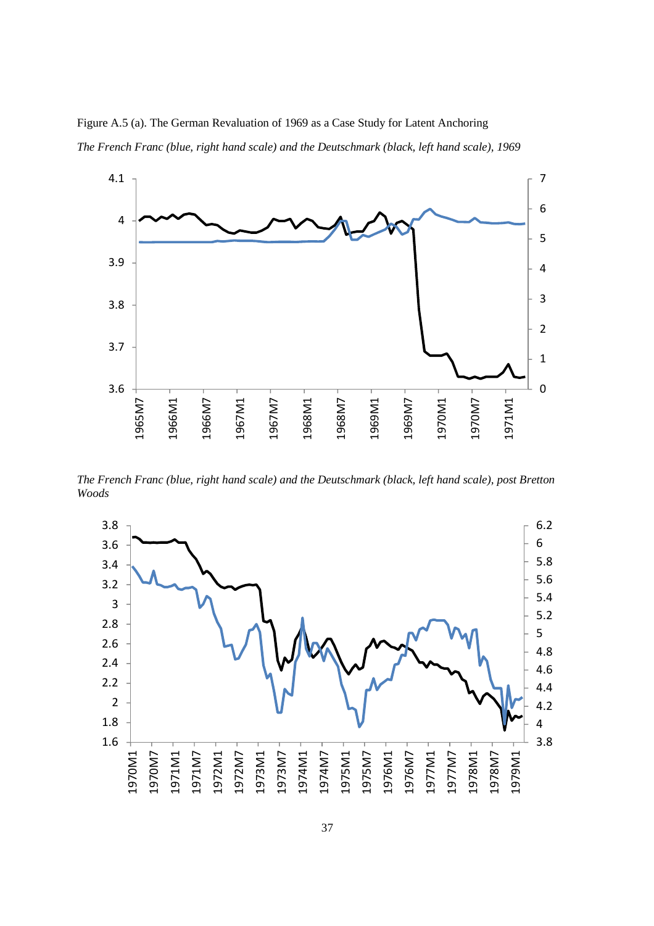Figure A.5 (a). The German Revaluation of 1969 as a Case Study for Latent Anchoring *The French Franc (blue, right hand scale) and the Deutschmark (black, left hand scale), 1969* 



*The French Franc (blue, right hand scale) and the Deutschmark (black, left hand scale), post Bretton Woods* 

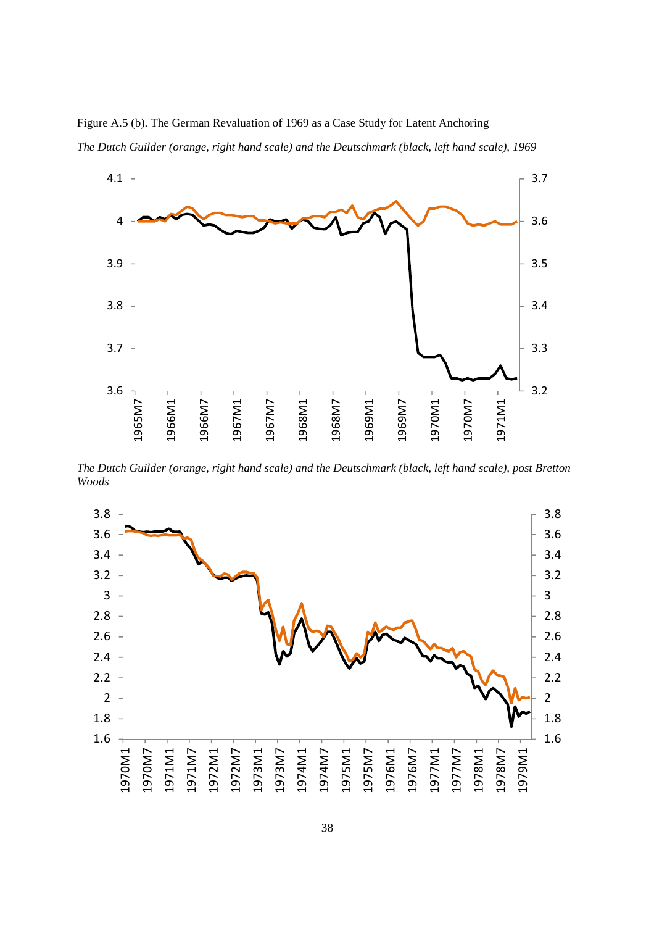Figure A.5 (b). The German Revaluation of 1969 as a Case Study for Latent Anchoring *The Dutch Guilder (orange, right hand scale) and the Deutschmark (black, left hand scale), 1969* 



*The Dutch Guilder (orange, right hand scale) and the Deutschmark (black, left hand scale), post Bretton Woods* 

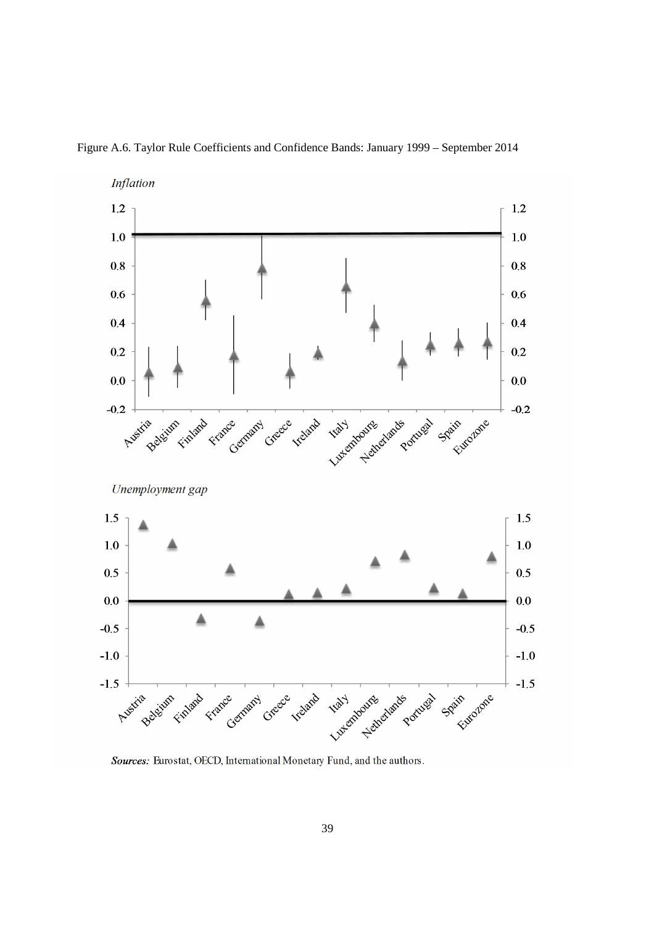

Figure A.6. Taylor Rule Coefficients and Confidence Bands: January 1999 – September 2014

Sources: Eurostat, OECD, International Monetary Fund, and the authors.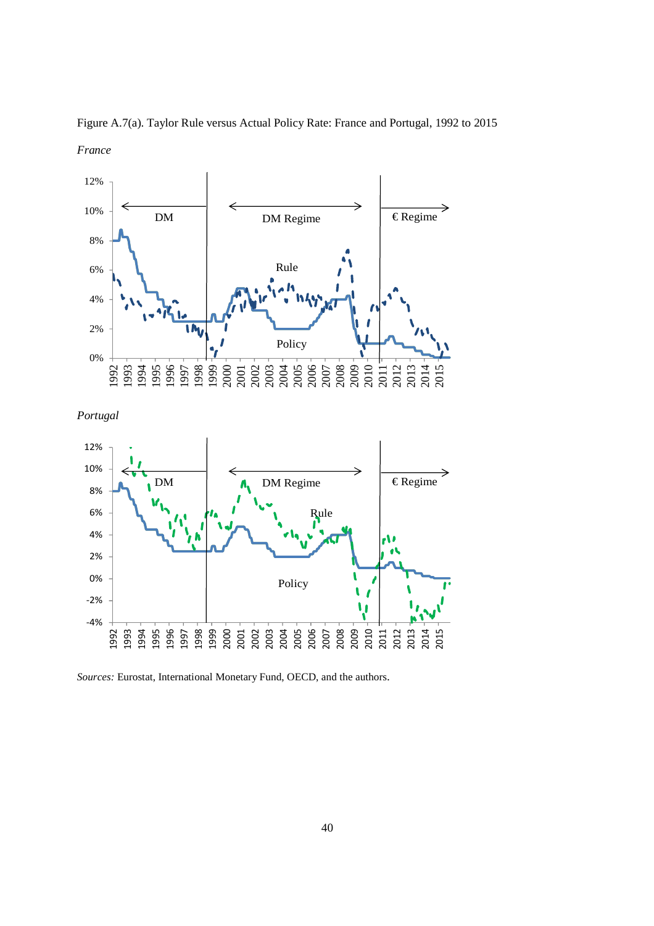

Figure A.7(a). Taylor Rule versus Actual Policy Rate: France and Portugal, 1992 to 2015 *France* 





*Sources:* Eurostat, International Monetary Fund, OECD, and the authors.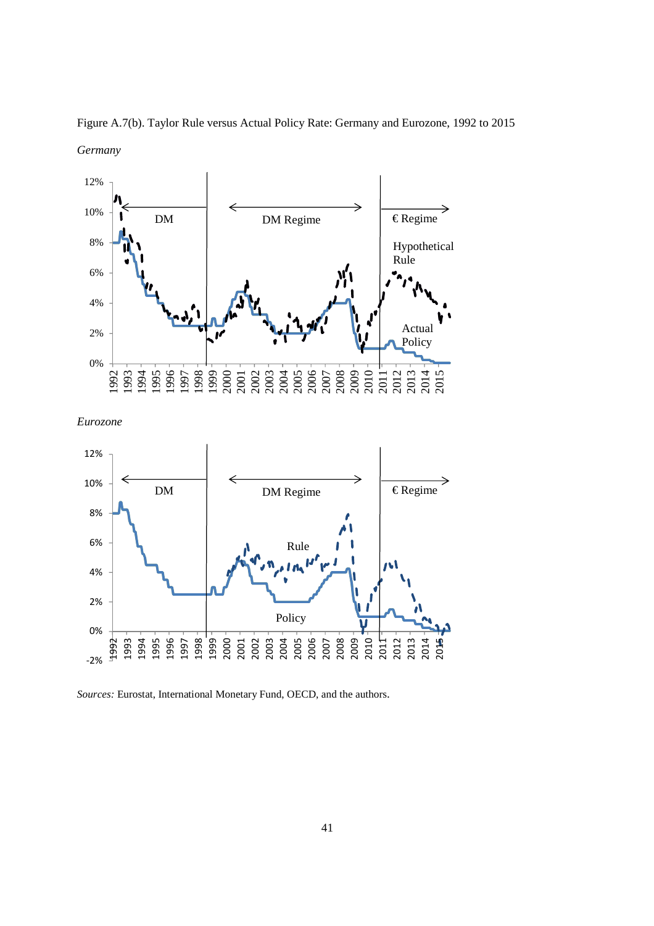

Figure A.7(b). Taylor Rule versus Actual Policy Rate: Germany and Eurozone, 1992 to 2015 *Germany* 

*Eurozone* 



*Sources:* Eurostat, International Monetary Fund, OECD, and the authors.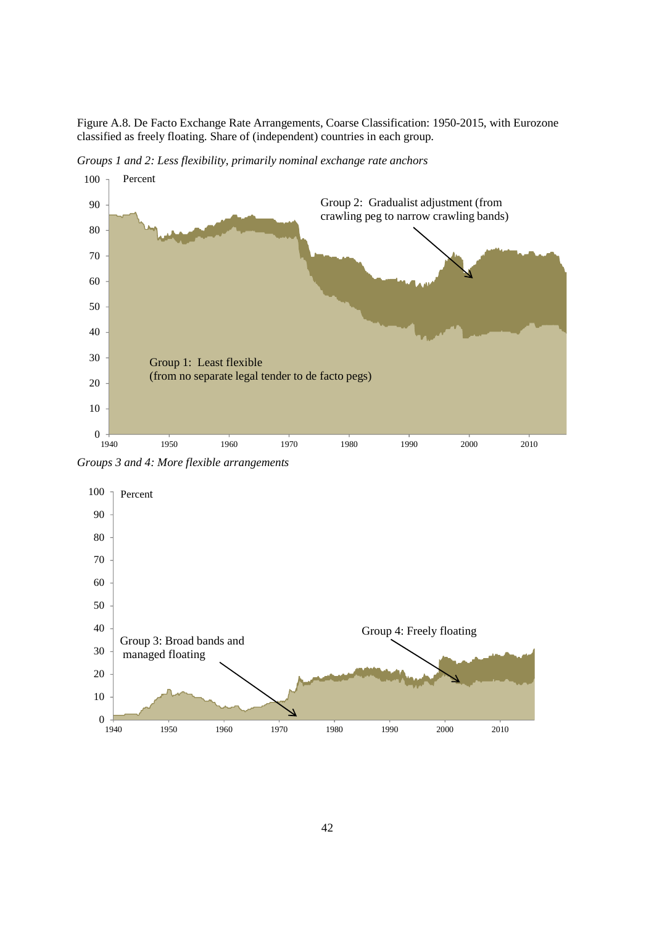Figure A.8. De Facto Exchange Rate Arrangements, Coarse Classification: 1950-2015, with Eurozone classified as freely floating. Share of (independent) countries in each group.

*Groups 1 and 2: Less flexibility, primarily nominal exchange rate anchors* 



*Groups 3 and 4: More flexible arrangements* 

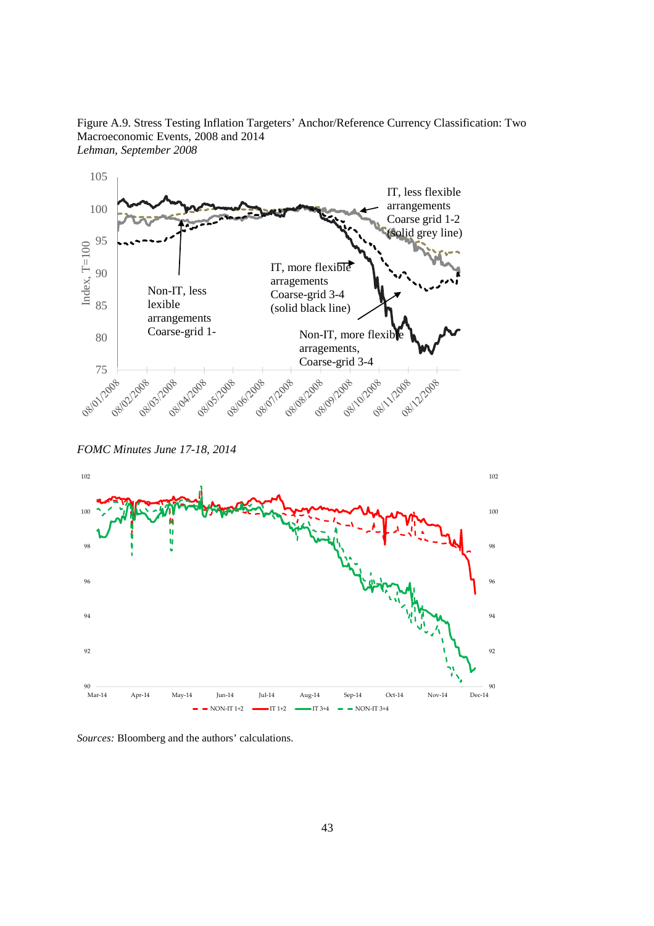Figure A.9. Stress Testing Inflation Targeters' Anchor/Reference Currency Classification: Two Macroeconomic Events, 2008 and 2014 *Lehman, September 2008* 



*FOMC Minutes June 17-18, 2014* 



*Sources:* Bloomberg and the authors' calculations.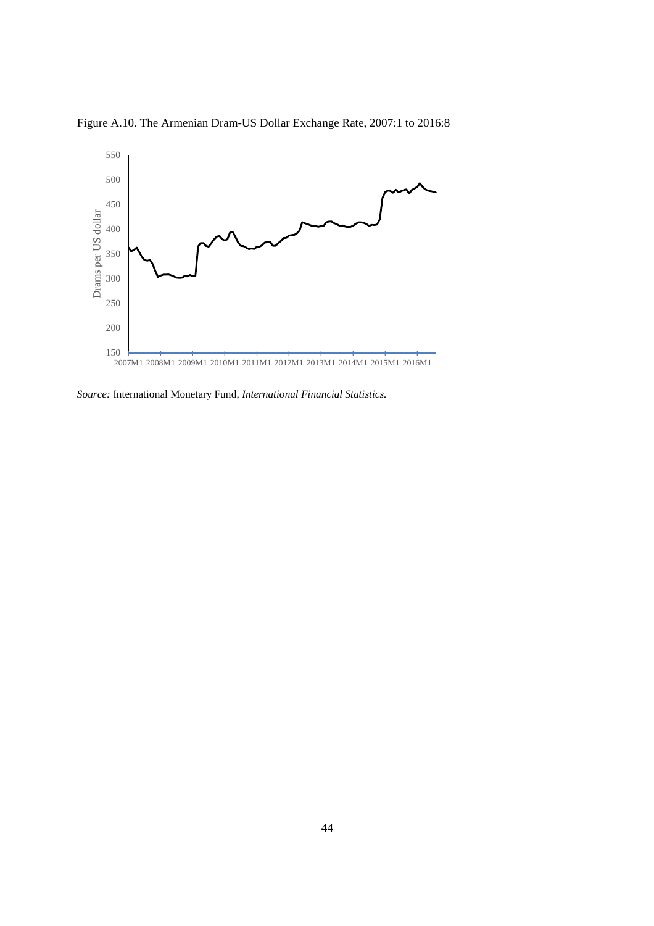Figure A.10. The Armenian Dram-US Dollar Exchange Rate, 2007:1 to 2016:8



*Source:* International Monetary Fund*, International Financial Statistics.*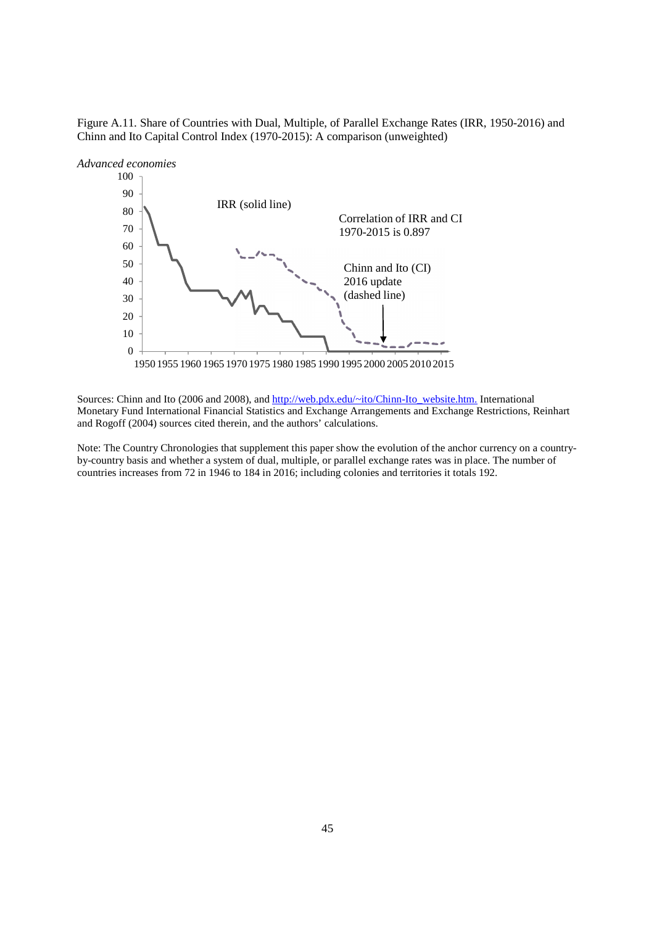Figure A.11. Share of Countries with Dual, Multiple, of Parallel Exchange Rates (IRR, 1950-2016) and Chinn and Ito Capital Control Index (1970-2015): A comparison (unweighted)



Sources: Chinn and Ito (2006 and 2008), and http://web.pdx.edu/~ito/Chinn-Ito\_website.htm. International Monetary Fund International Financial Statistics and Exchange Arrangements and Exchange Restrictions, Reinhart and Rogoff (2004) sources cited therein, and the authors' calculations.

Note: The Country Chronologies that supplement this paper show the evolution of the anchor currency on a countryby-country basis and whether a system of dual, multiple, or parallel exchange rates was in place. The number of countries increases from 72 in 1946 to 184 in 2016; including colonies and territories it totals 192.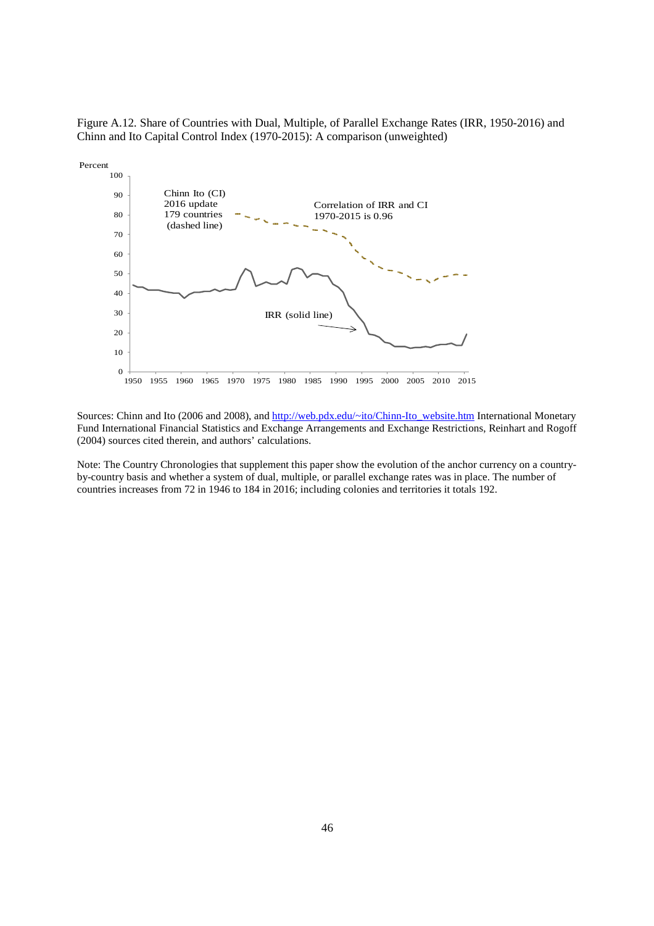Figure A.12. Share of Countries with Dual, Multiple, of Parallel Exchange Rates (IRR, 1950-2016) and Chinn and Ito Capital Control Index (1970-2015): A comparison (unweighted)



Sources: Chinn and Ito (2006 and 2008), and http://web.pdx.edu/~ito/Chinn-Ito\_website.htm International Monetary Fund International Financial Statistics and Exchange Arrangements and Exchange Restrictions, Reinhart and Rogoff (2004) sources cited therein, and authors' calculations.

Note: The Country Chronologies that supplement this paper show the evolution of the anchor currency on a countryby-country basis and whether a system of dual, multiple, or parallel exchange rates was in place. The number of countries increases from 72 in 1946 to 184 in 2016; including colonies and territories it totals 192.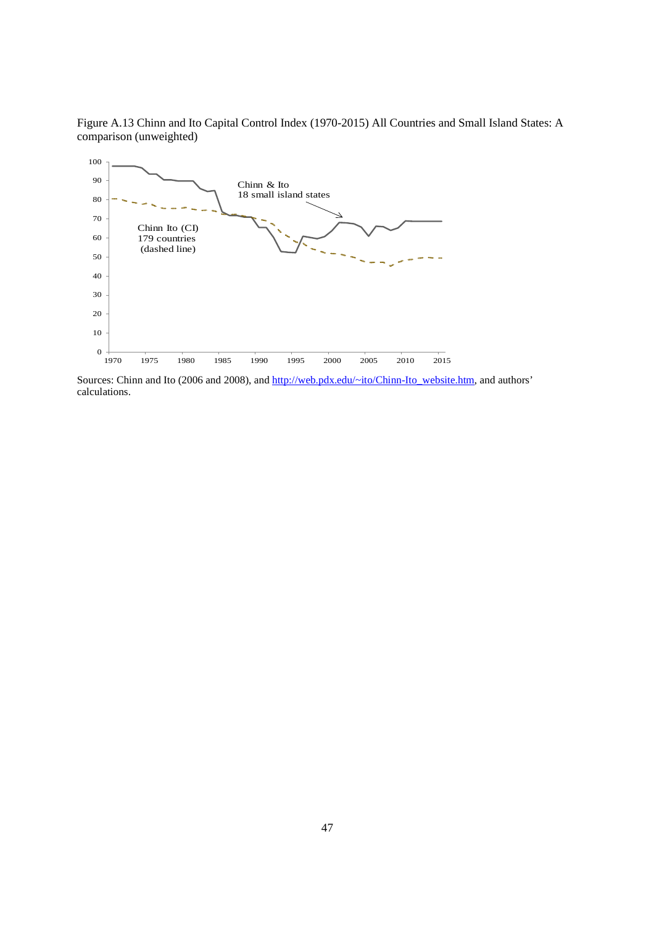Figure A.13 Chinn and Ito Capital Control Index (1970-2015) All Countries and Small Island States: A comparison (unweighted)



Sources: Chinn and Ito (2006 and 2008), and http://web.pdx.edu/~ito/Chinn-Ito\_website.htm, and authors' calculations.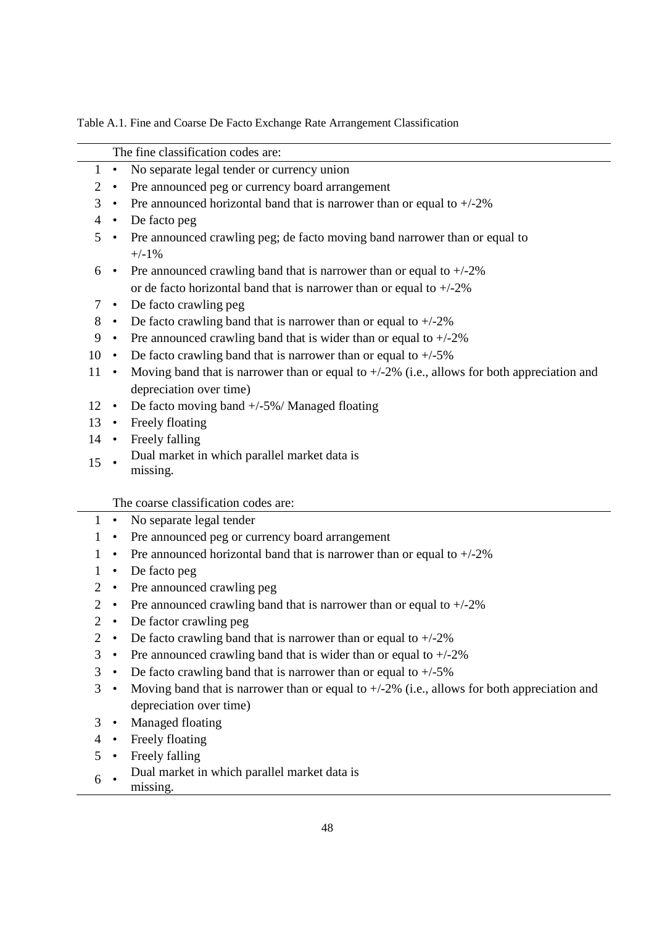Table A.1. Fine and Coarse De Facto Exchange Rate Arrangement Classification

|                |           | The fine classification codes are:                                                             |
|----------------|-----------|------------------------------------------------------------------------------------------------|
| $\mathbf{1}$   | $\bullet$ | No separate legal tender or currency union                                                     |
| $\overline{2}$ | $\bullet$ | Pre announced peg or currency board arrangement                                                |
| 3              | $\bullet$ | Pre announced horizontal band that is narrower than or equal to $+/-2\%$                       |
| 4              |           | • De facto peg                                                                                 |
| 5              | $\bullet$ | Pre announced crawling peg; de facto moving band narrower than or equal to                     |
|                |           | $+/-1%$                                                                                        |
| 6              | $\bullet$ | Pre announced crawling band that is narrower than or equal to $+/-2\%$                         |
|                |           | or de facto horizontal band that is narrower than or equal to $+/2\%$                          |
| 7              | $\bullet$ | De facto crawling peg                                                                          |
| 8              | $\bullet$ | De facto crawling band that is narrower than or equal to $+/2\%$                               |
| 9              | $\bullet$ | Pre announced crawling band that is wider than or equal to $+/-2\%$                            |
| 10             | $\bullet$ | De facto crawling band that is narrower than or equal to $+/-5\%$                              |
| 11             | $\bullet$ | Moving band that is narrower than or equal to $+/-2\%$ (i.e., allows for both appreciation and |
|                |           | depreciation over time)                                                                        |
| 12             | $\bullet$ | De facto moving band +/-5%/ Managed floating                                                   |
| 13             | $\bullet$ | Freely floating                                                                                |
| 14             | $\bullet$ | Freely falling                                                                                 |
| 15             |           | Dual market in which parallel market data is                                                   |
|                |           | missing.                                                                                       |
|                |           | The coarse classification codes are:                                                           |
| $\mathbf{1}$   | $\bullet$ | No separate legal tender                                                                       |
| 1              | ٠         | Pre announced peg or currency board arrangement                                                |
| 1              | $\bullet$ | Pre announced horizontal band that is narrower than or equal to $+/-2\%$                       |
| 1              | $\bullet$ | De facto peg                                                                                   |
| $\overline{2}$ | $\bullet$ | Pre announced crawling peg                                                                     |
| $\overline{2}$ | $\bullet$ | Pre announced crawling band that is narrower than or equal to $+/-2\%$                         |
| 2              | ٠         | De factor crawling peg                                                                         |
| $\overline{2}$ | $\bullet$ | De facto crawling band that is narrower than or equal to $+/-2\%$                              |
| 3              | $\bullet$ | Pre announced crawling band that is wider than or equal to $+/-2\%$                            |
| 3              | $\bullet$ | De facto crawling band that is narrower than or equal to $+/-5\%$                              |
| 3              | $\bullet$ | Moving band that is narrower than or equal to $+/-2\%$ (i.e., allows for both appreciation and |
|                |           | depreciation over time)                                                                        |
| 3              | $\bullet$ | Managed floating                                                                               |
|                |           | Freely floating                                                                                |
| 5              |           | Freely falling                                                                                 |
|                |           | Dual market in which parallel market data is                                                   |

 • missing.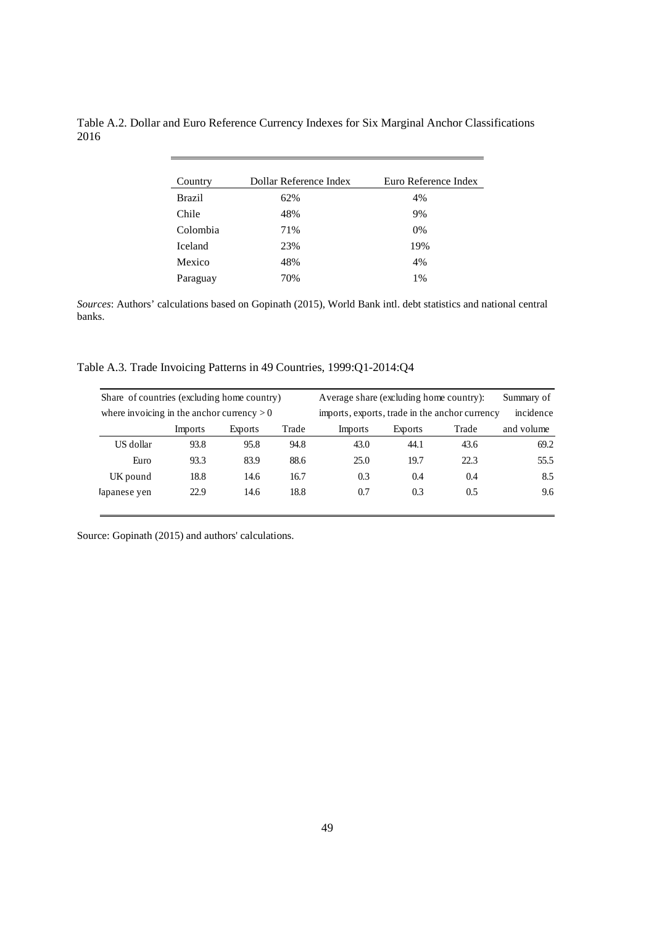| Country        | Dollar Reference Index | Euro Reference Index |
|----------------|------------------------|----------------------|
| <b>Brazil</b>  | 62%                    | 4%                   |
| Chile          | 48%                    | 9%                   |
| Colombia       | 71%                    | $0\%$                |
| <b>Iceland</b> | 23%                    | 19%                  |
| Mexico         | 48%                    | 4%                   |
| Paraguay       | 70%                    | 1%                   |

Table A.2. Dollar and Euro Reference Currency Indexes for Six Marginal Anchor Classifications 2016

*Sources*: Authors' calculations based on Gopinath (2015), World Bank intl. debt statistics and national central banks.

Table A.3. Trade Invoicing Patterns in 49 Countries, 1999:Q1-2014:Q4

| Share of countries (excluding home country)  |         |         |       | Average share (excluding home country):        |         |       | Summary of |
|----------------------------------------------|---------|---------|-------|------------------------------------------------|---------|-------|------------|
| where invoicing in the anchor currency $> 0$ |         |         |       | imports, exports, trade in the anchor currency |         |       | incidence  |
|                                              | Imports | Exports | Trade | Imports                                        | Exports | Trade | and volume |
| US dollar                                    | 93.8    | 95.8    | 94.8  | 43.0                                           | 44.1    | 43.6  | 69.2       |
| Euro                                         | 93.3    | 83.9    | 88.6  | 25.0                                           | 19.7    | 22.3  | 55.5       |
| UK pound                                     | 18.8    | 14.6    | 16.7  | 0.3                                            | 0.4     | 0.4   | 8.5        |
| lapanese yen                                 | 22.9    | 14.6    | 18.8  | 0.7                                            | 0.3     | 0.5   | 9.6        |

Source: Gopinath (2015) and authors' calculations.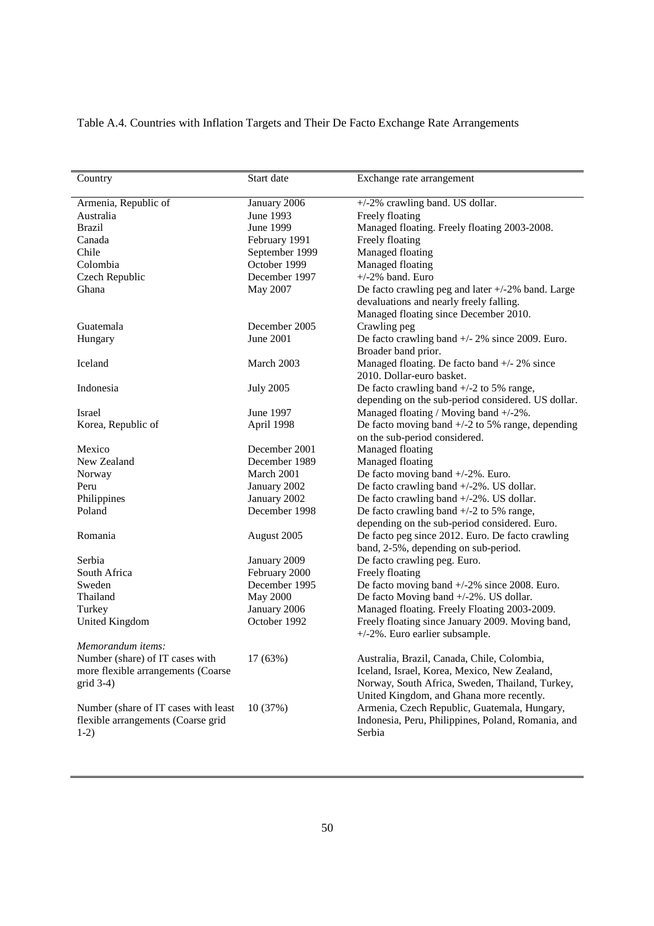# Table A.4. Countries with Inflation Targets and Their De Facto Exchange Rate Arrangements

|                                      | Start date       |                                                      |
|--------------------------------------|------------------|------------------------------------------------------|
| Country                              |                  | Exchange rate arrangement                            |
| Armenia, Republic of                 | January 2006     | +/-2% crawling band. US dollar.                      |
| Australia                            | June 1993        | Freely floating                                      |
| <b>Brazil</b>                        | June 1999        | Managed floating. Freely floating 2003-2008.         |
| Canada                               | February 1991    | Freely floating                                      |
| Chile                                | September 1999   | Managed floating                                     |
| Colombia                             | October 1999     | Managed floating                                     |
| Czech Republic                       | December 1997    | $+/-2\%$ band. Euro                                  |
| Ghana                                | May 2007         | De facto crawling peg and later $+/-2\%$ band. Large |
|                                      |                  | devaluations and nearly freely falling.              |
|                                      |                  | Managed floating since December 2010.                |
| Guatemala                            | December 2005    | Crawling peg                                         |
|                                      |                  |                                                      |
| Hungary                              | June 2001        | De facto crawling band $+/- 2\%$ since 2009. Euro.   |
|                                      |                  | Broader band prior.                                  |
| Iceland                              | March 2003       | Managed floating. De facto band +/- 2% since         |
|                                      |                  | 2010. Dollar-euro basket.                            |
| Indonesia                            | <b>July 2005</b> | De facto crawling band $+/-2$ to 5% range,           |
|                                      |                  | depending on the sub-period considered. US dollar.   |
| Israel                               | June 1997        | Managed floating / Moving band +/-2%.                |
| Korea, Republic of                   | April 1998       | De facto moving band $+/-2$ to 5% range, depending   |
|                                      |                  | on the sub-period considered.                        |
| Mexico                               | December 2001    | Managed floating                                     |
| New Zealand                          | December 1989    | Managed floating                                     |
| Norway                               | March 2001       | De facto moving band +/-2%. Euro.                    |
| Peru                                 | January 2002     | De facto crawling band $+/-2\%$ . US dollar.         |
| Philippines                          | January 2002     | De facto crawling band $+/-2\%$ . US dollar.         |
| Poland                               | December 1998    | De facto crawling band $+/-2$ to 5% range,           |
|                                      |                  | depending on the sub-period considered. Euro.        |
| Romania                              | August 2005      | De facto peg since 2012. Euro. De facto crawling     |
|                                      |                  | band, 2-5%, depending on sub-period.                 |
| Serbia                               | January 2009     | De facto crawling peg. Euro.                         |
| South Africa                         | February 2000    | Freely floating                                      |
| Sweden                               | December 1995    | De facto moving band +/-2% since 2008. Euro.         |
| Thailand                             | <b>May 2000</b>  | De facto Moving band +/-2%. US dollar.               |
| Turkey                               | January 2006     | Managed floating. Freely Floating 2003-2009.         |
| <b>United Kingdom</b>                | October 1992     | Freely floating since January 2009. Moving band,     |
|                                      |                  | +/-2%. Euro earlier subsample.                       |
| Memorandum items:                    |                  |                                                      |
| Number (share) of IT cases with      | 17 (63%)         | Australia, Brazil, Canada, Chile, Colombia,          |
| more flexible arrangements (Coarse   |                  | Iceland, Israel, Korea, Mexico, New Zealand,         |
| $grid 3-4)$                          |                  | Norway, South Africa, Sweden, Thailand, Turkey,      |
|                                      |                  | United Kingdom, and Ghana more recently.             |
| Number (share of IT cases with least | 10(37%)          | Armenia, Czech Republic, Guatemala, Hungary,         |
| flexible arrangements (Coarse grid   |                  | Indonesia, Peru, Philippines, Poland, Romania, and   |
| $1-2)$                               |                  | Serbia                                               |
|                                      |                  |                                                      |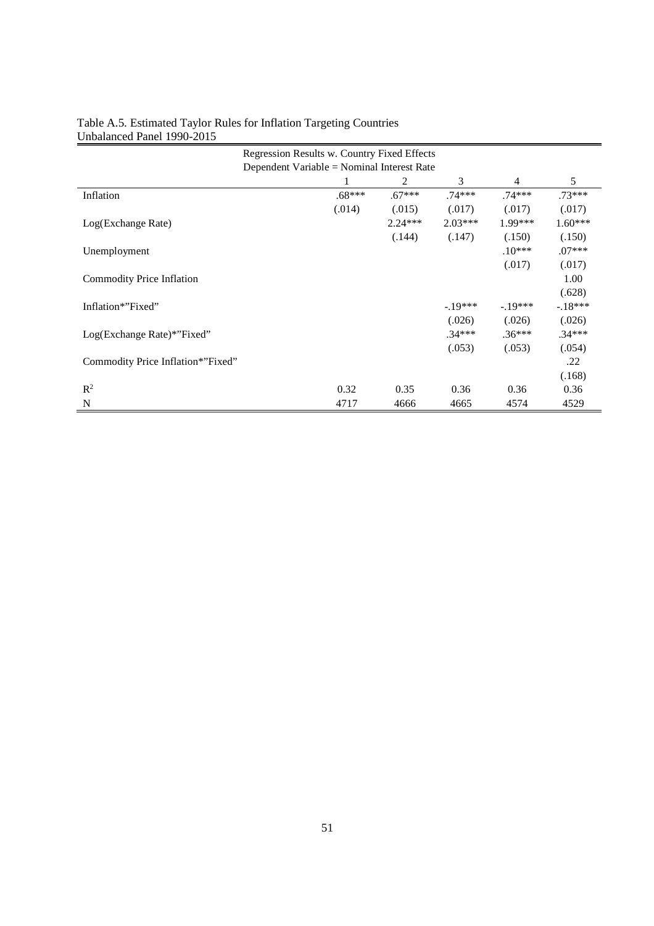| Regression Results w. Country Fixed Effects |                                            |           |           |           |           |
|---------------------------------------------|--------------------------------------------|-----------|-----------|-----------|-----------|
|                                             | Dependent Variable = Nominal Interest Rate |           |           |           |           |
|                                             |                                            | 2         | 3         | 4         | 5         |
| Inflation                                   | $.68***$                                   | $.67***$  | $.74***$  | $.74***$  | $.73***$  |
|                                             | (.014)                                     | (.015)    | (.017)    | (.017)    | (.017)    |
| Log(Exchange Rate)                          |                                            | $2.24***$ | $2.03***$ | $1.99***$ | $1.60***$ |
|                                             |                                            | (.144)    | (.147)    | (.150)    | (.150)    |
| Unemployment                                |                                            |           |           | $.10***$  | $.07***$  |
|                                             |                                            |           |           | (.017)    | (.017)    |
| Commodity Price Inflation                   |                                            |           |           |           | 1.00      |
|                                             |                                            |           |           |           | (.628)    |
| Inflation*"Fixed"                           |                                            |           | $-19***$  | $-19***$  | $-.18***$ |
|                                             |                                            |           | (.026)    | (.026)    | (.026)    |
| Log(Exchange Rate)*"Fixed"                  |                                            |           | $.34***$  | $.36***$  | $.34***$  |
|                                             |                                            |           | (.053)    | (.053)    | (.054)    |
| Commodity Price Inflation*"Fixed"           |                                            |           |           |           | .22       |
|                                             |                                            |           |           |           | (.168)    |
| $R^2$                                       | 0.32                                       | 0.35      | 0.36      | 0.36      | 0.36      |
| N                                           | 4717                                       | 4666      | 4665      | 4574      | 4529      |

# Table A.5. Estimated Taylor Rules for Inflation Targeting Countries Unbalanced Panel 1990-2015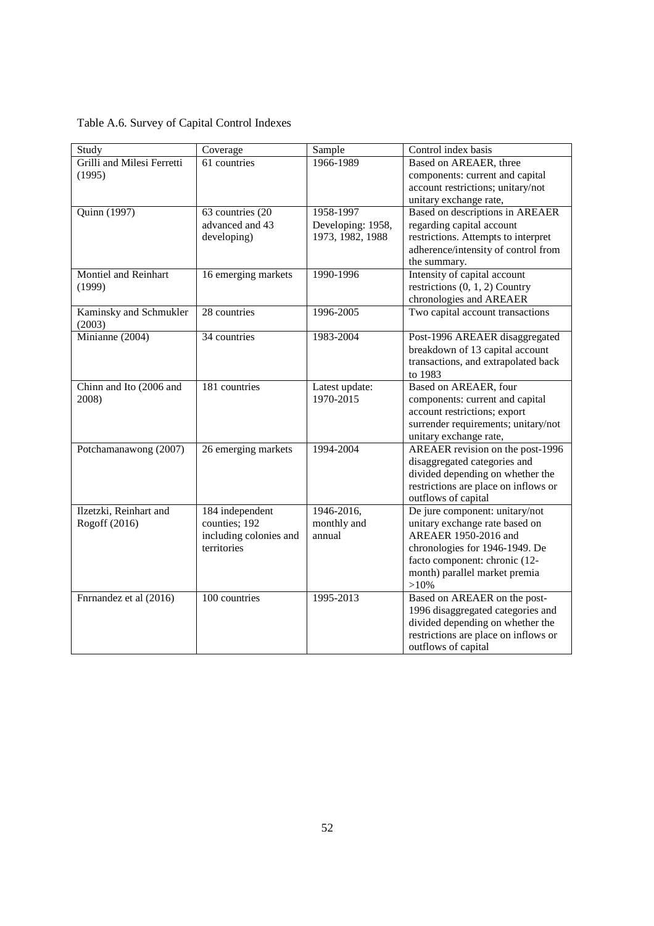| Table A.6. Survey of Capital Control Indexes |  |  |
|----------------------------------------------|--|--|
|                                              |  |  |

| Study                      | Coverage               | Sample            | Control index basis                  |
|----------------------------|------------------------|-------------------|--------------------------------------|
| Grilli and Milesi Ferretti | 61 countries           | 1966-1989         | Based on AREAER, three               |
| (1995)                     |                        |                   | components: current and capital      |
|                            |                        |                   | account restrictions; unitary/not    |
|                            |                        |                   | unitary exchange rate,               |
| Quinn (1997)               | 63 countries (20       | 1958-1997         | Based on descriptions in AREAER      |
|                            | advanced and 43        | Developing: 1958, | regarding capital account            |
|                            | developing)            | 1973, 1982, 1988  | restrictions. Attempts to interpret  |
|                            |                        |                   | adherence/intensity of control from  |
|                            |                        |                   | the summary.                         |
| Montiel and Reinhart       | 16 emerging markets    | 1990-1996         | Intensity of capital account         |
| (1999)                     |                        |                   | restrictions $(0, 1, 2)$ Country     |
|                            |                        |                   | chronologies and AREAER              |
| Kaminsky and Schmukler     | 28 countries           | 1996-2005         | Two capital account transactions     |
| (2003)                     |                        |                   |                                      |
| Minianne (2004)            | 34 countries           | 1983-2004         | Post-1996 AREAER disaggregated       |
|                            |                        |                   | breakdown of 13 capital account      |
|                            |                        |                   | transactions, and extrapolated back  |
|                            |                        |                   | to 1983                              |
| Chinn and Ito (2006 and    | 181 countries          | Latest update:    | Based on AREAER, four                |
| 2008)                      |                        | 1970-2015         | components: current and capital      |
|                            |                        |                   | account restrictions; export         |
|                            |                        |                   | surrender requirements; unitary/not  |
|                            |                        |                   | unitary exchange rate,               |
| Potchamanawong (2007)      | 26 emerging markets    | 1994-2004         | AREAER revision on the post-1996     |
|                            |                        |                   | disaggregated categories and         |
|                            |                        |                   | divided depending on whether the     |
|                            |                        |                   | restrictions are place on inflows or |
|                            |                        |                   | outflows of capital                  |
| Ilzetzki, Reinhart and     | 184 independent        | 1946-2016,        | De jure component: unitary/not       |
| Rogoff (2016)              | counties; 192          | monthly and       | unitary exchange rate based on       |
|                            | including colonies and | annual            | AREAER 1950-2016 and                 |
|                            | territories            |                   | chronologies for 1946-1949. De       |
|                            |                        |                   | facto component: chronic (12-        |
|                            |                        |                   | month) parallel market premia        |
|                            |                        |                   | $>10\%$                              |
| Fnrnandez et al (2016)     | 100 countries          | 1995-2013         | Based on AREAER on the post-         |
|                            |                        |                   | 1996 disaggregated categories and    |
|                            |                        |                   | divided depending on whether the     |
|                            |                        |                   | restrictions are place on inflows or |
|                            |                        |                   | outflows of capital                  |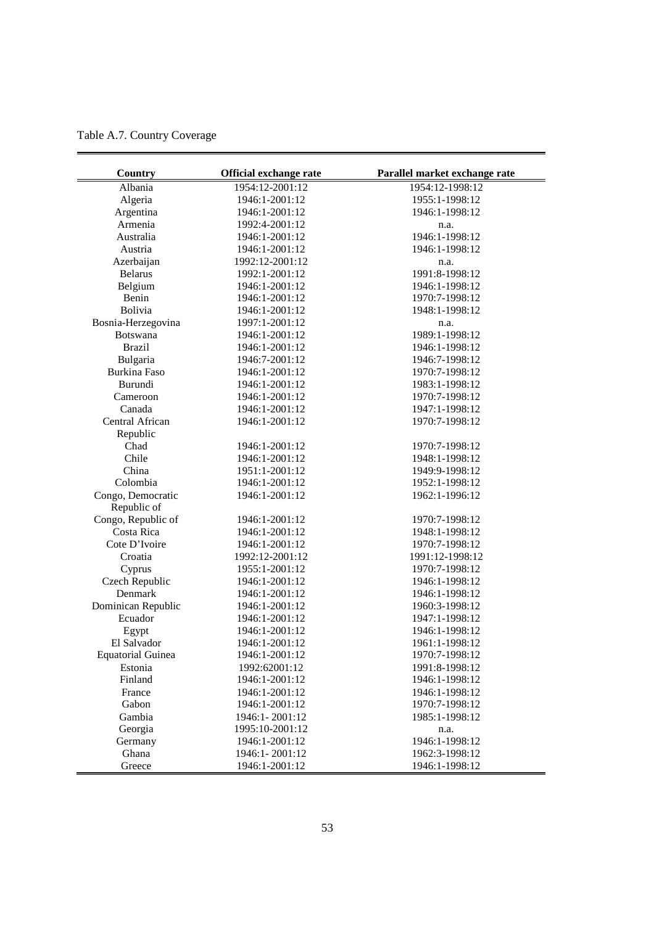| Table A.7. Country Coverage |  |  |
|-----------------------------|--|--|
|-----------------------------|--|--|

| Country                  | Official exchange rate | Parallel market exchange rate |
|--------------------------|------------------------|-------------------------------|
| Albania                  | 1954:12-2001:12        | 1954:12-1998:12               |
| Algeria                  | 1946:1-2001:12         | 1955:1-1998:12                |
| Argentina                | 1946:1-2001:12         | 1946:1-1998:12                |
| Armenia                  | 1992:4-2001:12         | n.a.                          |
| Australia                | 1946:1-2001:12         | 1946:1-1998:12                |
| Austria                  | 1946:1-2001:12         | 1946:1-1998:12                |
| Azerbaijan               | 1992:12-2001:12        | n.a.                          |
| <b>Belarus</b>           | 1992:1-2001:12         | 1991:8-1998:12                |
| Belgium                  | 1946:1-2001:12         | 1946:1-1998:12                |
| Benin                    | 1946:1-2001:12         | 1970:7-1998:12                |
| Bolivia                  | 1946:1-2001:12         | 1948:1-1998:12                |
| Bosnia-Herzegovina       | 1997:1-2001:12         | n.a.                          |
| <b>Botswana</b>          | 1946:1-2001:12         | 1989:1-1998:12                |
| <b>Brazil</b>            | 1946:1-2001:12         | 1946:1-1998:12                |
| Bulgaria                 | 1946:7-2001:12         | 1946:7-1998:12                |
| Burkina Faso             | 1946:1-2001:12         | 1970:7-1998:12                |
| Burundi                  | 1946:1-2001:12         | 1983:1-1998:12                |
| Cameroon                 | 1946:1-2001:12         | 1970:7-1998:12                |
| Canada                   | 1946:1-2001:12         | 1947:1-1998:12                |
| Central African          | 1946:1-2001:12         | 1970:7-1998:12                |
| Republic                 |                        |                               |
| Chad                     | 1946:1-2001:12         | 1970:7-1998:12                |
| Chile                    | 1946:1-2001:12         | 1948:1-1998:12                |
| China                    | 1951:1-2001:12         | 1949:9-1998:12                |
| Colombia                 | 1946:1-2001:12         | 1952:1-1998:12                |
| Congo, Democratic        | 1946:1-2001:12         | 1962:1-1996:12                |
| Republic of              |                        |                               |
| Congo, Republic of       | 1946:1-2001:12         | 1970:7-1998:12                |
| Costa Rica               | 1946:1-2001:12         | 1948:1-1998:12                |
| Cote D'Ivoire            | 1946:1-2001:12         | 1970:7-1998:12                |
| Croatia                  | 1992:12-2001:12        | 1991:12-1998:12               |
| Cyprus                   | 1955:1-2001:12         | 1970:7-1998:12                |
| Czech Republic           | 1946:1-2001:12         | 1946:1-1998:12                |
| Denmark                  | 1946:1-2001:12         | 1946:1-1998:12                |
| Dominican Republic       | 1946:1-2001:12         | 1960:3-1998:12                |
| Ecuador                  | 1946:1-2001:12         | 1947:1-1998:12                |
| Egypt                    | 1946:1-2001:12         | 1946:1-1998:12                |
| El Salvador              | 1946:1-2001:12         | 1961:1-1998:12                |
| <b>Equatorial Guinea</b> | 1946:1-2001:12         | 1970:7-1998:12                |
| Estonia                  | 1992:62001:12          | 1991:8-1998:12                |
| Finland                  | 1946:1-2001:12         | 1946:1-1998:12                |
| France                   | 1946:1-2001:12         | 1946:1-1998:12                |
| Gabon                    | 1946:1-2001:12         | 1970:7-1998:12                |
| Gambia                   | 1946:1-2001:12         | 1985:1-1998:12                |
| Georgia                  | 1995:10-2001:12        | n.a.                          |
| Germany                  | 1946:1-2001:12         | 1946:1-1998:12                |
| Ghana                    | 1946:1-2001:12         | 1962:3-1998:12                |
| Greece                   | 1946:1-2001:12         | 1946:1-1998:12                |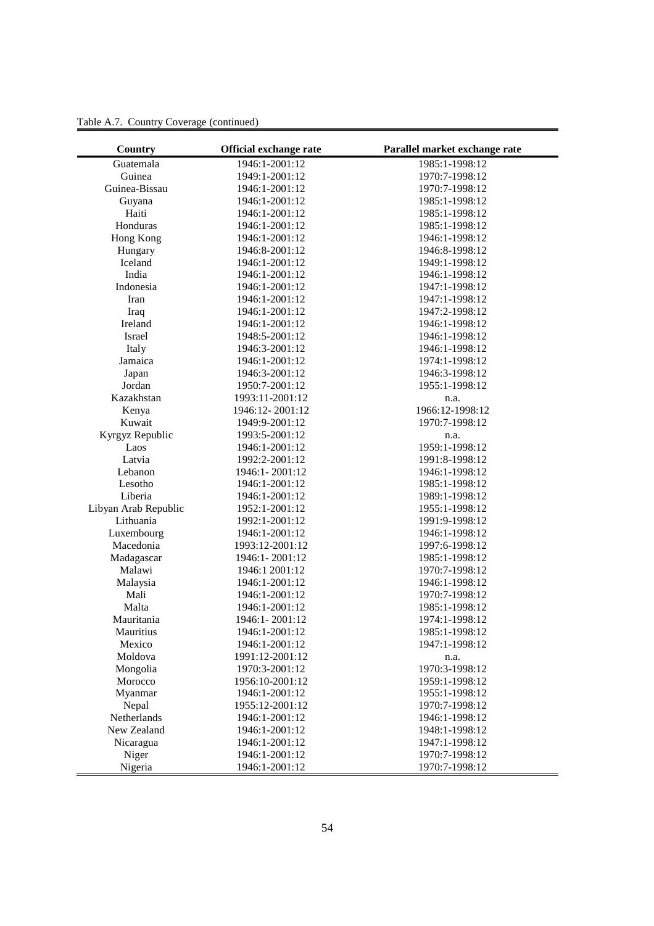| Country              | Official exchange rate | Parallel market exchange rate |
|----------------------|------------------------|-------------------------------|
| Guatemala            | 1946:1-2001:12         | 1985:1-1998:12                |
| Guinea               | 1949:1-2001:12         | 1970:7-1998:12                |
| Guinea-Bissau        | 1946:1-2001:12         | 1970:7-1998:12                |
| Guyana               | 1946:1-2001:12         | 1985:1-1998:12                |
| Haiti                | 1946:1-2001:12         | 1985:1-1998:12                |
| Honduras             | 1946:1-2001:12         | 1985:1-1998:12                |
| Hong Kong            | 1946:1-2001:12         | 1946:1-1998:12                |
| Hungary              | 1946:8-2001:12         | 1946:8-1998:12                |
| Iceland              | 1946:1-2001:12         | 1949:1-1998:12                |
| India                | 1946:1-2001:12         | 1946:1-1998:12                |
| Indonesia            | 1946:1-2001:12         | 1947:1-1998:12                |
| Iran                 | 1946:1-2001:12         | 1947:1-1998:12                |
| Iraq                 | 1946:1-2001:12         | 1947:2-1998:12                |
| Ireland              | 1946:1-2001:12         | 1946:1-1998:12                |
| Israel               | 1948:5-2001:12         | 1946:1-1998:12                |
| Italy                | 1946:3-2001:12         | 1946:1-1998:12                |
| Jamaica              | 1946:1-2001:12         | 1974:1-1998:12                |
| Japan                | 1946:3-2001:12         | 1946:3-1998:12                |
| Jordan               | 1950:7-2001:12         | 1955:1-1998:12                |
| Kazakhstan           | 1993:11-2001:12        | n.a.                          |
| Kenya                | 1946:12-2001:12        | 1966:12-1998:12               |
| Kuwait               | 1949:9-2001:12         | 1970:7-1998:12                |
| Kyrgyz Republic      | 1993:5-2001:12         | n.a.                          |
| Laos                 | 1946:1-2001:12         | 1959:1-1998:12                |
| Latvia               | 1992:2-2001:12         | 1991:8-1998:12                |
| Lebanon              | 1946:1-2001:12         | 1946:1-1998:12                |
| Lesotho              | 1946:1-2001:12         | 1985:1-1998:12                |
| Liberia              | 1946:1-2001:12         | 1989:1-1998:12                |
| Libyan Arab Republic | 1952:1-2001:12         | 1955:1-1998:12                |
| Lithuania            | 1992:1-2001:12         | 1991:9-1998:12                |
| Luxembourg           | 1946:1-2001:12         | 1946:1-1998:12                |
| Macedonia            | 1993:12-2001:12        | 1997:6-1998:12                |
| Madagascar           | 1946:1-2001:12         | 1985:1-1998:12                |
| Malawi               | 1946:1 2001:12         | 1970:7-1998:12                |
| Malaysia             | 1946:1-2001:12         | 1946:1-1998:12                |
| Mali                 | 1946:1-2001:12         | 1970:7-1998:12                |
| Malta                | 1946:1-2001:12         | 1985:1-1998:12                |
| Mauritania           | 1946:1-2001:12         | 1974:1-1998:12                |
| Mauritius            | 1946:1-2001:12         | 1985:1-1998:12                |
| Mexico               | 1946:1-2001:12         | 1947:1-1998:12                |
| Moldova              | 1991:12-2001:12        | n.a.                          |
| Mongolia             | 1970:3-2001:12         | 1970:3-1998:12                |
| Morocco              | 1956:10-2001:12        | 1959:1-1998:12                |
| Myanmar              | 1946:1-2001:12         | 1955:1-1998:12                |
| Nepal                | 1955:12-2001:12        | 1970:7-1998:12                |
| Netherlands          | 1946:1-2001:12         | 1946:1-1998:12                |
| New Zealand          | 1946:1-2001:12         | 1948:1-1998:12                |
| Nicaragua            | 1946:1-2001:12         | 1947:1-1998:12                |
| Niger                | 1946:1-2001:12         | 1970:7-1998:12                |
| Nigeria              | 1946:1-2001:12         | 1970:7-1998:12                |

Table A.7. Country Coverage (continued)